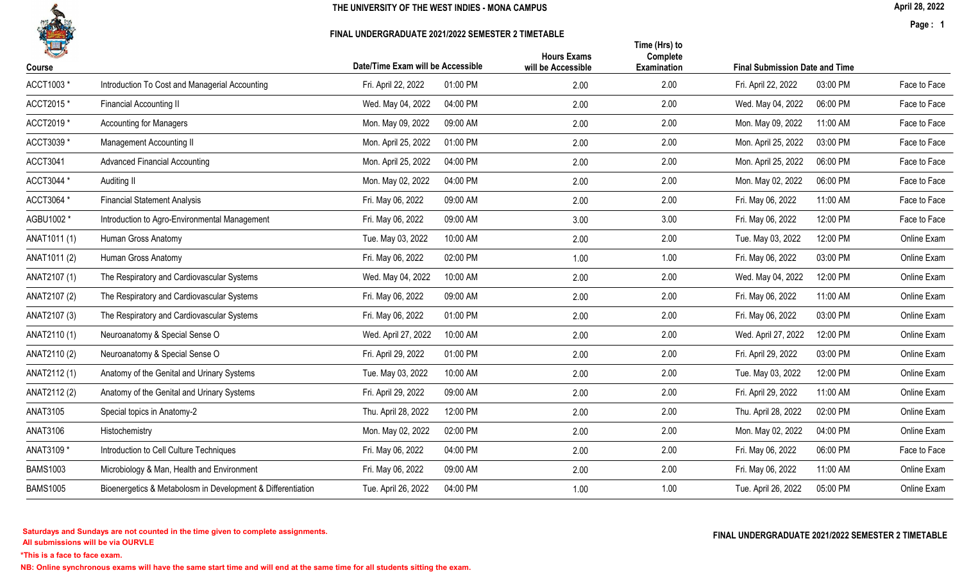

### FINAL UNDERGRADUATE 2021/2022 SEMESTER 2 TIMETABLE

April 28, 2022

Page : 1

| 一<br>Course     |                                                             | Date/Time Exam will be Accessible | <b>Hours Exams</b><br>will be Accessible | Time (Hrs) to<br>Complete<br><b>Examination</b> | <b>Final Submission Date and Time</b> |              |
|-----------------|-------------------------------------------------------------|-----------------------------------|------------------------------------------|-------------------------------------------------|---------------------------------------|--------------|
| ACCT1003 *      | Introduction To Cost and Managerial Accounting              | Fri. April 22, 2022<br>01:00 PM   | 2.00                                     | 2.00                                            | Fri. April 22, 2022<br>03:00 PM       | Face to Face |
| ACCT2015*       | <b>Financial Accounting II</b>                              | Wed. May 04, 2022<br>04:00 PM     | 2.00                                     | 2.00                                            | Wed. May 04, 2022<br>06:00 PM         | Face to Face |
| ACCT2019 *      | <b>Accounting for Managers</b>                              | Mon. May 09, 2022<br>09:00 AM     | 2.00                                     | 2.00                                            | Mon. May 09, 2022<br>11:00 AM         | Face to Face |
| ACCT3039 *      | <b>Management Accounting II</b>                             | 01:00 PM<br>Mon. April 25, 2022   | 2.00                                     | 2.00                                            | 03:00 PM<br>Mon. April 25, 2022       | Face to Face |
| <b>ACCT3041</b> | <b>Advanced Financial Accounting</b>                        | 04:00 PM<br>Mon. April 25, 2022   | 2.00                                     | 2.00                                            | Mon. April 25, 2022<br>06:00 PM       | Face to Face |
| ACCT3044 *      | Auditing II                                                 | Mon. May 02, 2022<br>04:00 PM     | 2.00                                     | 2.00                                            | Mon. May 02, 2022<br>06:00 PM         | Face to Face |
| ACCT3064 *      | <b>Financial Statement Analysis</b>                         | Fri. May 06, 2022<br>09:00 AM     | 2.00                                     | 2.00                                            | Fri. May 06, 2022<br>11:00 AM         | Face to Face |
| AGBU1002 *      | Introduction to Agro-Environmental Management               | Fri. May 06, 2022<br>09:00 AM     | 3.00                                     | 3.00                                            | Fri. May 06, 2022<br>12:00 PM         | Face to Face |
| ANAT1011 (1)    | Human Gross Anatomy                                         | Tue. May 03, 2022<br>10:00 AM     | 2.00                                     | 2.00                                            | Tue. May 03, 2022<br>12:00 PM         | Online Exam  |
| ANAT1011 (2)    | Human Gross Anatomy                                         | Fri. May 06, 2022<br>02:00 PM     | 1.00                                     | 1.00                                            | Fri. May 06, 2022<br>03:00 PM         | Online Exam  |
| ANAT2107 (1)    | The Respiratory and Cardiovascular Systems                  | 10:00 AM<br>Wed. May 04, 2022     | 2.00                                     | 2.00                                            | 12:00 PM<br>Wed. May 04, 2022         | Online Exam  |
| ANAT2107 (2)    | The Respiratory and Cardiovascular Systems                  | 09:00 AM<br>Fri. May 06, 2022     | 2.00                                     | 2.00                                            | Fri. May 06, 2022<br>11:00 AM         | Online Exam  |
| ANAT2107 (3)    | The Respiratory and Cardiovascular Systems                  | 01:00 PM<br>Fri. May 06, 2022     | 2.00                                     | 2.00                                            | Fri. May 06, 2022<br>03:00 PM         | Online Exam  |
| ANAT2110 (1)    | Neuroanatomy & Special Sense O                              | Wed. April 27, 2022<br>10:00 AM   | 2.00                                     | 2.00                                            | Wed. April 27, 2022<br>12:00 PM       | Online Exam  |
| ANAT2110 (2)    | Neuroanatomy & Special Sense O                              | Fri. April 29, 2022<br>01:00 PM   | 2.00                                     | 2.00                                            | Fri. April 29, 2022<br>03:00 PM       | Online Exam  |
| ANAT2112(1)     | Anatomy of the Genital and Urinary Systems                  | 10:00 AM<br>Tue. May 03, 2022     | 2.00                                     | 2.00                                            | 12:00 PM<br>Tue. May 03, 2022         | Online Exam  |
| ANAT2112 (2)    | Anatomy of the Genital and Urinary Systems                  | Fri. April 29, 2022<br>09:00 AM   | 2.00                                     | 2.00                                            | Fri. April 29, 2022<br>11:00 AM       | Online Exam  |
| <b>ANAT3105</b> | Special topics in Anatomy-2                                 | Thu. April 28, 2022<br>12:00 PM   | 2.00                                     | 2.00                                            | Thu. April 28, 2022<br>02:00 PM       | Online Exam  |
| <b>ANAT3106</b> | Histochemistry                                              | Mon. May 02, 2022<br>02:00 PM     | 2.00                                     | 2.00                                            | Mon. May 02, 2022<br>04:00 PM         | Online Exam  |
| ANAT3109 *      | Introduction to Cell Culture Techniques                     | 04:00 PM<br>Fri. May 06, 2022     | 2.00                                     | 2.00                                            | Fri. May 06, 2022<br>06:00 PM         | Face to Face |
| <b>BAMS1003</b> | Microbiology & Man, Health and Environment                  | Fri. May 06, 2022<br>09:00 AM     | 2.00                                     | 2.00                                            | Fri. May 06, 2022<br>11:00 AM         | Online Exam  |
| <b>BAMS1005</b> | Bioenergetics & Metabolosm in Development & Differentiation | Tue. April 26, 2022<br>04:00 PM   | 1.00                                     | 1.00                                            | Tue. April 26, 2022<br>05:00 PM       | Online Exam  |
|                 |                                                             |                                   |                                          |                                                 |                                       |              |

All submissions will be via OURVLE Saturdays and Sundays are not counted in the time given to complete assignments. The substitution of the time of the time given to complete assignments. The substitution of the time  $\Gamma$  and  $\Gamma$  and  $\Gamma$  and  $\Gamma$  and  $\Gamma$ 

\*This is a face to face exam.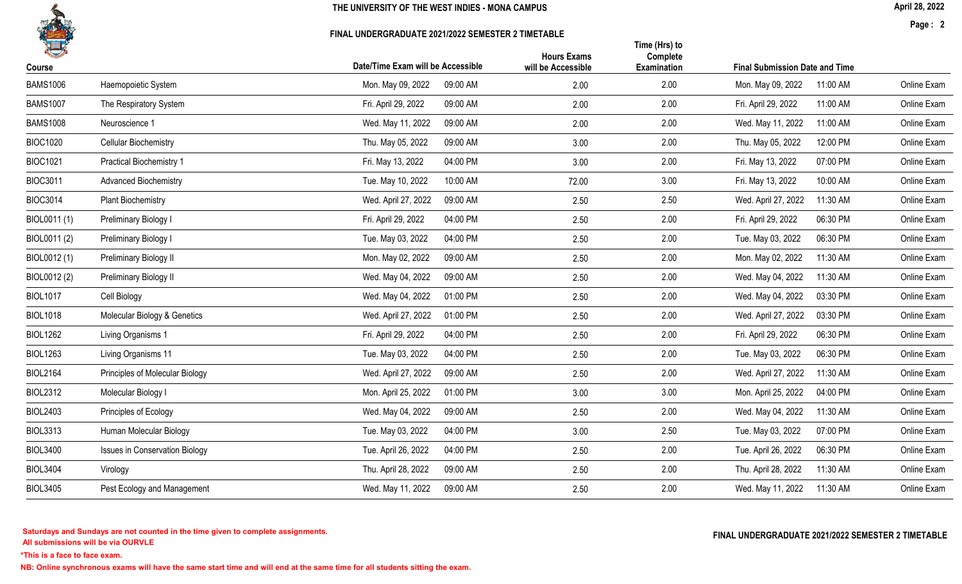

#### FINAL UNDERGRADUATE 2021/2022 SEMESTER 2 TIMETABLE

April 28, 2022

Page : 2

| 化<br>Course     |                                       | Date/Time Exam will be Accessible |          | <b>Hours Exams</b><br>will be Accessible | Time (Hrs) to<br>Complete<br><b>Examination</b> | <b>Final Submission Date and Time</b> |          |             |
|-----------------|---------------------------------------|-----------------------------------|----------|------------------------------------------|-------------------------------------------------|---------------------------------------|----------|-------------|
| <b>BAMS1006</b> | Haemopoietic System                   | Mon. May 09, 2022                 | 09:00 AM | 2.00                                     | 2.00                                            | Mon. May 09, 2022                     | 11:00 AM | Online Exam |
| <b>BAMS1007</b> | The Respiratory System                | Fri. April 29, 2022               | 09:00 AM | 2.00                                     | 2.00                                            | Fri. April 29, 2022                   | 11:00 AM | Online Exam |
| <b>BAMS1008</b> | Neuroscience 1                        | Wed. May 11, 2022                 | 09:00 AM | 2.00                                     | 2.00                                            | Wed. May 11, 2022                     | 11:00 AM | Online Exam |
| <b>BIOC1020</b> | <b>Cellular Biochemistry</b>          | Thu. May 05, 2022                 | 09:00 AM | 3.00                                     | 2.00                                            | Thu. May 05, 2022                     | 12:00 PM | Online Exam |
| <b>BIOC1021</b> | <b>Practical Biochemistry 1</b>       | Fri. May 13, 2022                 | 04:00 PM | 3.00                                     | 2.00                                            | Fri. May 13, 2022                     | 07:00 PM | Online Exam |
| <b>BIOC3011</b> | <b>Advanced Biochemistry</b>          | Tue. May 10, 2022                 | 10:00 AM | 72.00                                    | 3.00                                            | Fri. May 13, 2022                     | 10:00 AM | Online Exam |
| <b>BIOC3014</b> | <b>Plant Biochemistry</b>             | Wed. April 27, 2022               | 09:00 AM | 2.50                                     | 2.50                                            | Wed. April 27, 2022                   | 11:30 AM | Online Exam |
| BIOL0011 (1)    | Preliminary Biology I                 | Fri. April 29, 2022               | 04:00 PM | 2.50                                     | 2.00                                            | Fri. April 29, 2022                   | 06:30 PM | Online Exam |
| BIOL0011 (2)    | Preliminary Biology I                 | Tue. May 03, 2022                 | 04:00 PM | 2.50                                     | 2.00                                            | Tue. May 03, 2022                     | 06:30 PM | Online Exam |
| BIOL0012 (1)    | Preliminary Biology II                | Mon. May 02, 2022                 | 09:00 AM | 2.50                                     | 2.00                                            | Mon. May 02, 2022                     | 11:30 AM | Online Exam |
| BIOL0012 (2)    | Preliminary Biology II                | Wed. May 04, 2022                 | 09:00 AM | 2.50                                     | 2.00                                            | Wed. May 04, 2022                     | 11:30 AM | Online Exam |
| <b>BIOL1017</b> | Cell Biology                          | Wed. May 04, 2022                 | 01:00 PM | 2.50                                     | 2.00                                            | Wed. May 04, 2022                     | 03:30 PM | Online Exam |
| <b>BIOL1018</b> | Molecular Biology & Genetics          | Wed. April 27, 2022               | 01:00 PM | 2.50                                     | 2.00                                            | Wed. April 27, 2022                   | 03:30 PM | Online Exam |
| <b>BIOL1262</b> | Living Organisms 1                    | Fri. April 29, 2022               | 04:00 PM | 2.50                                     | 2.00                                            | Fri. April 29, 2022                   | 06:30 PM | Online Exam |
| <b>BIOL1263</b> | Living Organisms 11                   | Tue. May 03, 2022                 | 04:00 PM | 2.50                                     | 2.00                                            | Tue. May 03, 2022                     | 06:30 PM | Online Exam |
| <b>BIOL2164</b> | Principles of Molecular Biology       | Wed. April 27, 2022               | 09:00 AM | 2.50                                     | 2.00                                            | Wed. April 27, 2022                   | 11:30 AM | Online Exam |
| <b>BIOL2312</b> | Molecular Biology I                   | Mon. April 25, 2022               | 01:00 PM | 3.00                                     | 3.00                                            | Mon. April 25, 2022                   | 04:00 PM | Online Exam |
| <b>BIOL2403</b> | Principles of Ecology                 | Wed. May 04, 2022                 | 09:00 AM | 2.50                                     | 2.00                                            | Wed. May 04, 2022                     | 11:30 AM | Online Exam |
| <b>BIOL3313</b> | Human Molecular Biology               | Tue. May 03, 2022                 | 04:00 PM | 3.00                                     | 2.50                                            | Tue. May 03, 2022                     | 07:00 PM | Online Exam |
| <b>BIOL3400</b> | <b>Issues in Conservation Biology</b> | Tue. April 26, 2022               | 04:00 PM | 2.50                                     | 2.00                                            | Tue. April 26, 2022                   | 06:30 PM | Online Exam |
| <b>BIOL3404</b> | Virology                              | Thu. April 28, 2022               | 09:00 AM | 2.50                                     | 2.00                                            | Thu. April 28, 2022                   | 11:30 AM | Online Exam |
| <b>BIOL3405</b> | Pest Ecology and Management           | Wed. May 11, 2022                 | 09:00 AM | 2.50                                     | 2.00                                            | Wed. May 11, 2022                     | 11:30 AM | Online Exam |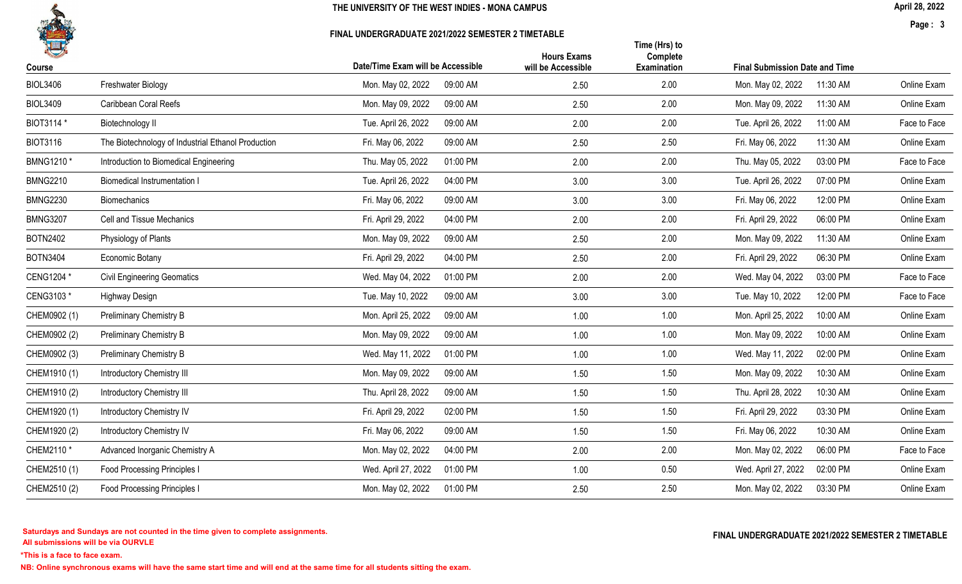

#### FINAL UNDERGRADUATE 2021/2022 SEMESTER 2 TIMETABLE

April 28, 2022

Page : 3

| 化<br>Course     |                                                    | Date/Time Exam will be Accessible | <b>Hours Exams</b><br>will be Accessible | Time (Hrs) to<br>Complete<br><b>Examination</b> | <b>Final Submission Date and Time</b> |              |
|-----------------|----------------------------------------------------|-----------------------------------|------------------------------------------|-------------------------------------------------|---------------------------------------|--------------|
| <b>BIOL3406</b> | Freshwater Biology                                 | Mon. May 02, 2022<br>09:00 AM     | 2.50                                     | 2.00                                            | Mon. May 02, 2022<br>11:30 AM         | Online Exam  |
| <b>BIOL3409</b> | Caribbean Coral Reefs                              | Mon. May 09, 2022<br>09:00 AM     | 2.50                                     | 2.00                                            | Mon. May 09, 2022<br>11:30 AM         | Online Exam  |
| BIOT3114 *      | Biotechnology II                                   | 09:00 AM<br>Tue. April 26, 2022   | 2.00                                     | 2.00                                            | Tue. April 26, 2022<br>11:00 AM       | Face to Face |
| <b>BIOT3116</b> | The Biotechnology of Industrial Ethanol Production | 09:00 AM<br>Fri. May 06, 2022     | 2.50                                     | 2.50                                            | 11:30 AM<br>Fri. May 06, 2022         | Online Exam  |
| BMNG1210 *      | Introduction to Biomedical Engineering             | 01:00 PM<br>Thu. May 05, 2022     | 2.00                                     | 2.00                                            | 03:00 PM<br>Thu. May 05, 2022         | Face to Face |
| <b>BMNG2210</b> | <b>Biomedical Instrumentation I</b>                | Tue. April 26, 2022<br>04:00 PM   | 3.00                                     | 3.00                                            | 07:00 PM<br>Tue. April 26, 2022       | Online Exam  |
| <b>BMNG2230</b> | Biomechanics                                       | 09:00 AM<br>Fri. May 06, 2022     | 3.00                                     | 3.00                                            | 12:00 PM<br>Fri. May 06, 2022         | Online Exam  |
| <b>BMNG3207</b> | Cell and Tissue Mechanics                          | Fri. April 29, 2022<br>04:00 PM   | 2.00                                     | 2.00                                            | 06:00 PM<br>Fri. April 29, 2022       | Online Exam  |
| <b>BOTN2402</b> | Physiology of Plants                               | 09:00 AM<br>Mon. May 09, 2022     | 2.50                                     | 2.00                                            | 11:30 AM<br>Mon. May 09, 2022         | Online Exam  |
| <b>BOTN3404</b> | Economic Botany                                    | Fri. April 29, 2022<br>04:00 PM   | 2.50                                     | 2.00                                            | Fri. April 29, 2022<br>06:30 PM       | Online Exam  |
| CENG1204 *      | <b>Civil Engineering Geomatics</b>                 | Wed. May 04, 2022<br>01:00 PM     | 2.00                                     | 2.00                                            | 03:00 PM<br>Wed. May 04, 2022         | Face to Face |
| CENG3103 *      | <b>Highway Design</b>                              | Tue. May 10, 2022<br>09:00 AM     | 3.00                                     | 3.00                                            | 12:00 PM<br>Tue. May 10, 2022         | Face to Face |
| CHEM0902 (1)    | Preliminary Chemistry B                            | Mon. April 25, 2022<br>09:00 AM   | 1.00                                     | 1.00                                            | Mon. April 25, 2022<br>10:00 AM       | Online Exam  |
| CHEM0902 (2)    | <b>Preliminary Chemistry B</b>                     | Mon. May 09, 2022<br>09:00 AM     | 1.00                                     | 1.00                                            | Mon. May 09, 2022<br>10:00 AM         | Online Exam  |
| CHEM0902 (3)    | Preliminary Chemistry B                            | Wed. May 11, 2022<br>01:00 PM     | 1.00                                     | 1.00                                            | Wed. May 11, 2022<br>02:00 PM         | Online Exam  |
| CHEM1910 (1)    | Introductory Chemistry III                         | Mon. May 09, 2022<br>09:00 AM     | 1.50                                     | 1.50                                            | Mon. May 09, 2022<br>10:30 AM         | Online Exam  |
| CHEM1910 (2)    | <b>Introductory Chemistry III</b>                  | Thu. April 28, 2022<br>09:00 AM   | 1.50                                     | 1.50                                            | Thu. April 28, 2022<br>10:30 AM       | Online Exam  |
| CHEM1920 (1)    | Introductory Chemistry IV                          | 02:00 PM<br>Fri. April 29, 2022   | 1.50                                     | 1.50                                            | 03:30 PM<br>Fri. April 29, 2022       | Online Exam  |
| CHEM1920 (2)    | <b>Introductory Chemistry IV</b>                   | Fri. May 06, 2022<br>09:00 AM     | 1.50                                     | 1.50                                            | Fri. May 06, 2022<br>10:30 AM         | Online Exam  |
| CHEM2110 *      | Advanced Inorganic Chemistry A                     | Mon. May 02, 2022<br>04:00 PM     | 2.00                                     | 2.00                                            | 06:00 PM<br>Mon. May 02, 2022         | Face to Face |
| CHEM2510 (1)    | <b>Food Processing Principles I</b>                | Wed. April 27, 2022<br>01:00 PM   | 1.00                                     | 0.50                                            | Wed. April 27, 2022<br>02:00 PM       | Online Exam  |
| CHEM2510 (2)    | Food Processing Principles                         | Mon. May 02, 2022<br>01:00 PM     | 2.50                                     | 2.50                                            | Mon. May 02, 2022<br>03:30 PM         | Online Exam  |
|                 |                                                    |                                   |                                          |                                                 |                                       |              |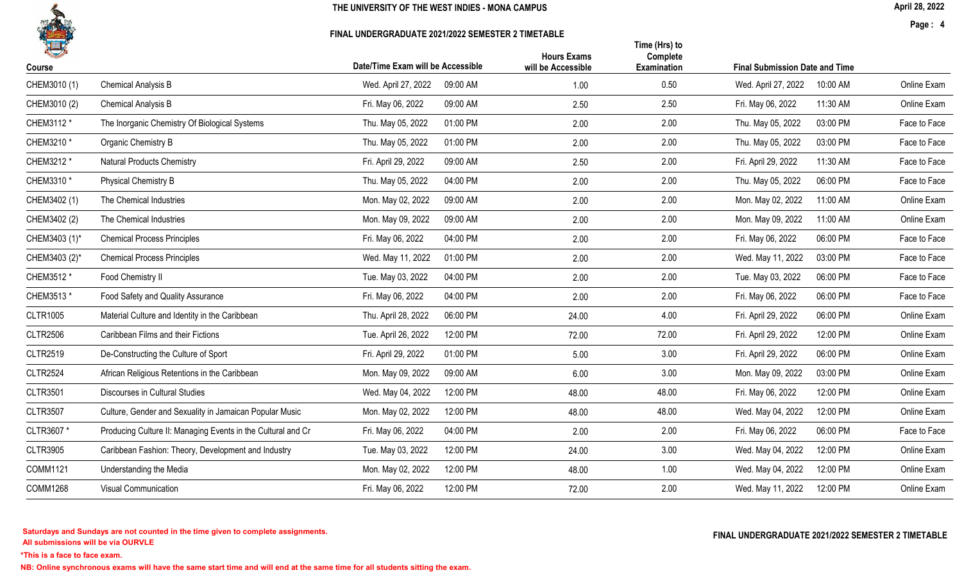

### FINAL UNDERGRADUATE 2021/2022 SEMESTER 2 TIMETABLE

April 28, 2022

Page : 4

| 1<br>Course     |                                                              | Date/Time Exam will be Accessible | <b>Hours Exams</b><br>will be Accessible | Time (Hrs) to<br>Complete<br>Examination | <b>Final Submission Date and Time</b> |          |              |
|-----------------|--------------------------------------------------------------|-----------------------------------|------------------------------------------|------------------------------------------|---------------------------------------|----------|--------------|
| CHEM3010 (1)    | Chemical Analysis B                                          | Wed. April 27, 2022<br>09:00 AM   | 1.00                                     | 0.50                                     | Wed. April 27, 2022                   | 10:00 AM | Online Exam  |
| CHEM3010 (2)    | Chemical Analysis B                                          | Fri. May 06, 2022<br>09:00 AM     | 2.50                                     | 2.50                                     | Fri. May 06, 2022                     | 11:30 AM | Online Exam  |
| CHEM3112 *      | The Inorganic Chemistry Of Biological Systems                | Thu. May 05, 2022<br>01:00 PM     | 2.00                                     | 2.00                                     | Thu. May 05, 2022                     | 03:00 PM | Face to Face |
| CHEM3210 *      | Organic Chemistry B                                          | Thu. May 05, 2022<br>01:00 PM     | 2.00                                     | 2.00                                     | Thu. May 05, 2022                     | 03:00 PM | Face to Face |
| CHEM3212 *      | <b>Natural Products Chemistry</b>                            | Fri. April 29, 2022<br>09:00 AM   | 2.50                                     | 2.00                                     | Fri. April 29, 2022                   | 11:30 AM | Face to Face |
| CHEM3310 *      | Physical Chemistry B                                         | Thu. May 05, 2022<br>04:00 PM     | 2.00                                     | 2.00                                     | Thu. May 05, 2022                     | 06:00 PM | Face to Face |
| CHEM3402 (1)    | The Chemical Industries                                      | Mon. May 02, 2022<br>09:00 AM     | 2.00                                     | 2.00                                     | Mon. May 02, 2022                     | 11:00 AM | Online Exam  |
| CHEM3402 (2)    | The Chemical Industries                                      | Mon. May 09, 2022<br>09:00 AM     | 2.00                                     | 2.00                                     | Mon. May 09, 2022                     | 11:00 AM | Online Exam  |
| CHEM3403 (1)*   | <b>Chemical Process Principles</b>                           | Fri. May 06, 2022<br>04:00 PM     | 2.00                                     | 2.00                                     | Fri. May 06, 2022                     | 06:00 PM | Face to Face |
| CHEM3403 (2)*   | <b>Chemical Process Principles</b>                           | Wed. May 11, 2022<br>01:00 PM     | 2.00                                     | 2.00                                     | Wed. May 11, 2022                     | 03:00 PM | Face to Face |
| CHEM3512 *      | Food Chemistry II                                            | Tue. May 03, 2022<br>04:00 PM     | 2.00                                     | 2.00                                     | Tue. May 03, 2022                     | 06:00 PM | Face to Face |
| CHEM3513 *      | Food Safety and Quality Assurance                            | Fri. May 06, 2022<br>04:00 PM     | 2.00                                     | 2.00                                     | Fri. May 06, 2022                     | 06:00 PM | Face to Face |
| <b>CLTR1005</b> | Material Culture and Identity in the Caribbean               | Thu. April 28, 2022<br>06:00 PM   | 24.00                                    | 4.00                                     | Fri. April 29, 2022                   | 06:00 PM | Online Exam  |
| <b>CLTR2506</b> | Caribbean Films and their Fictions                           | Tue. April 26, 2022<br>12:00 PM   | 72.00                                    | 72.00                                    | Fri. April 29, 2022                   | 12:00 PM | Online Exam  |
| <b>CLTR2519</b> | De-Constructing the Culture of Sport                         | Fri. April 29, 2022<br>01:00 PM   | 5.00                                     | 3.00                                     | Fri. April 29, 2022                   | 06:00 PM | Online Exam  |
| <b>CLTR2524</b> | African Religious Retentions in the Caribbean                | Mon. May 09, 2022<br>09:00 AM     | 6.00                                     | 3.00                                     | Mon. May 09, 2022                     | 03:00 PM | Online Exam  |
| <b>CLTR3501</b> | Discourses in Cultural Studies                               | Wed. May 04, 2022<br>12:00 PM     | 48.00                                    | 48.00                                    | Fri. May 06, 2022                     | 12:00 PM | Online Exam  |
| <b>CLTR3507</b> | Culture, Gender and Sexuality in Jamaican Popular Music      | Mon. May 02, 2022<br>12:00 PM     | 48.00                                    | 48.00                                    | Wed. May 04, 2022                     | 12:00 PM | Online Exam  |
| CLTR3607 *      | Producing Culture II: Managing Events in the Cultural and Cr | Fri. May 06, 2022<br>04:00 PM     | 2.00                                     | 2.00                                     | Fri. May 06, 2022                     | 06:00 PM | Face to Face |
| <b>CLTR3905</b> | Caribbean Fashion: Theory, Development and Industry          | Tue. May 03, 2022<br>12:00 PM     | 24.00                                    | 3.00                                     | Wed. May 04, 2022                     | 12:00 PM | Online Exam  |
| COMM1121        | Understanding the Media                                      | 12:00 PM<br>Mon. May 02, 2022     | 48.00                                    | 1.00                                     | Wed. May 04, 2022                     | 12:00 PM | Online Exam  |
| <b>COMM1268</b> | <b>Visual Communication</b>                                  | Fri. May 06, 2022<br>12:00 PM     | 72.00                                    | 2.00                                     | Wed. May 11, 2022                     | 12:00 PM | Online Exam  |
|                 |                                                              |                                   |                                          |                                          |                                       |          |              |

\*This is a face to face exam.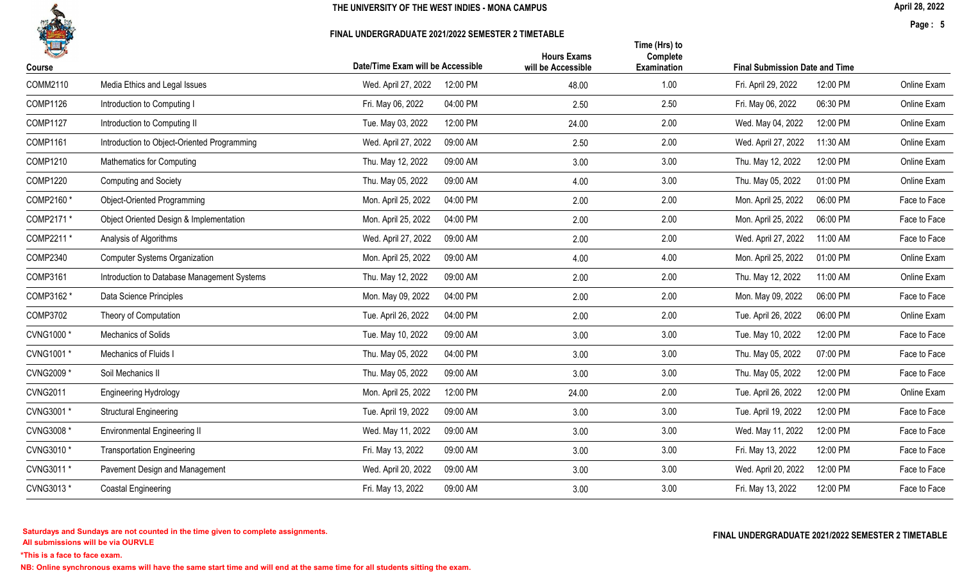

### FINAL UNDERGRADUATE 2021/2022 SEMESTER 2 TIMETABLE

Page : 5

|                                             |                                 | <b>Hours Exams</b>                | Complete           |                                 |                                       |
|---------------------------------------------|---------------------------------|-----------------------------------|--------------------|---------------------------------|---------------------------------------|
|                                             |                                 |                                   |                    |                                 |                                       |
| Media Ethics and Legal Issues               | 12:00 PM<br>Wed. April 27, 2022 | 48.00                             | 1.00               | Fri. April 29, 2022<br>12:00 PM | Online Exam                           |
| Introduction to Computing I                 | 04:00 PM<br>Fri. May 06, 2022   | 2.50                              | 2.50               | Fri. May 06, 2022<br>06:30 PM   | Online Exam                           |
| Introduction to Computing II                | 12:00 PM<br>Tue. May 03, 2022   | 24.00                             | 2.00               | Wed. May 04, 2022<br>12:00 PM   | Online Exam                           |
| Introduction to Object-Oriented Programming | 09:00 AM<br>Wed. April 27, 2022 | 2.50                              | 2.00               | Wed. April 27, 2022<br>11:30 AM | Online Exam                           |
| <b>Mathematics for Computing</b>            | 09:00 AM<br>Thu. May 12, 2022   | 3.00                              | 3.00               | Thu. May 12, 2022<br>12:00 PM   | Online Exam                           |
| Computing and Society                       | 09:00 AM<br>Thu. May 05, 2022   | 4.00                              | 3.00               | Thu. May 05, 2022<br>01:00 PM   | Online Exam                           |
| Object-Oriented Programming                 | 04:00 PM<br>Mon. April 25, 2022 | 2.00                              | 2.00               | Mon. April 25, 2022<br>06:00 PM | Face to Face                          |
| Object Oriented Design & Implementation     | 04:00 PM<br>Mon. April 25, 2022 | 2.00                              | 2.00               | Mon. April 25, 2022<br>06:00 PM | Face to Face                          |
| Analysis of Algorithms                      | Wed. April 27, 2022<br>09:00 AM | 2.00                              | 2.00               | Wed. April 27, 2022<br>11:00 AM | Face to Face                          |
| <b>Computer Systems Organization</b>        | Mon. April 25, 2022<br>09:00 AM | 4.00                              | 4.00               | Mon. April 25, 2022<br>01:00 PM | Online Exam                           |
| Introduction to Database Management Systems | Thu. May 12, 2022<br>09:00 AM   | 2.00                              | 2.00               | Thu. May 12, 2022<br>11:00 AM   | Online Exam                           |
| Data Science Principles                     | Mon. May 09, 2022<br>04:00 PM   | 2.00                              | 2.00               | Mon. May 09, 2022<br>06:00 PM   | Face to Face                          |
| Theory of Computation                       | Tue. April 26, 2022<br>04:00 PM | 2.00                              | 2.00               | Tue. April 26, 2022<br>06:00 PM | Online Exam                           |
| Mechanics of Solids                         | Tue. May 10, 2022<br>09:00 AM   | 3.00                              | 3.00               | Tue. May 10, 2022<br>12:00 PM   | Face to Face                          |
| Mechanics of Fluids I                       | Thu. May 05, 2022<br>04:00 PM   | 3.00                              | 3.00               | Thu. May 05, 2022<br>07:00 PM   | Face to Face                          |
| Soil Mechanics II                           | Thu. May 05, 2022<br>09:00 AM   | 3.00                              | 3.00               | Thu. May 05, 2022<br>12:00 PM   | Face to Face                          |
| <b>Engineering Hydrology</b>                | Mon. April 25, 2022<br>12:00 PM | 24.00                             | 2.00               | Tue. April 26, 2022<br>12:00 PM | Online Exam                           |
| <b>Structural Engineering</b>               | Tue. April 19, 2022<br>09:00 AM | 3.00                              | 3.00               | Tue. April 19, 2022<br>12:00 PM | Face to Face                          |
| <b>Environmental Engineering II</b>         | Wed. May 11, 2022<br>09:00 AM   | 3.00                              | 3.00               | Wed. May 11, 2022<br>12:00 PM   | Face to Face                          |
| <b>Transportation Engineering</b>           | 09:00 AM<br>Fri. May 13, 2022   | 3.00                              | 3.00               | Fri. May 13, 2022<br>12:00 PM   | Face to Face                          |
| Pavement Design and Management              | Wed. April 20, 2022<br>09:00 AM | 3.00                              | 3.00               | Wed. April 20, 2022<br>12:00 PM | Face to Face                          |
| Coastal Engineering                         | Fri. May 13, 2022<br>09:00 AM   | 3.00                              | 3.00               | Fri. May 13, 2022<br>12:00 PM   | Face to Face                          |
|                                             |                                 | Date/Time Exam will be Accessible | will be Accessible | Time (Hrs) to<br>Examination    | <b>Final Submission Date and Time</b> |

\*This is a face to face exam.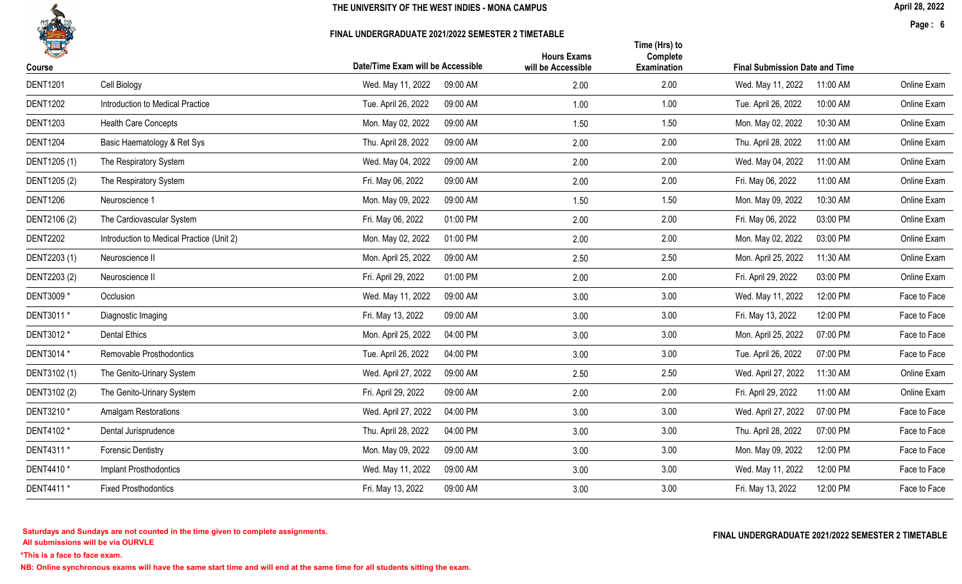

### FINAL UNDERGRADUATE 2021/2022 SEMESTER 2 TIMETABLE

April 28, 2022

Page : 6

| 14              |                                           |                                   | <b>Hours Exams</b> | Time (Hrs) to<br>Complete |                                       |              |  |
|-----------------|-------------------------------------------|-----------------------------------|--------------------|---------------------------|---------------------------------------|--------------|--|
| Course          |                                           | Date/Time Exam will be Accessible | will be Accessible | Examination               | <b>Final Submission Date and Time</b> |              |  |
| <b>DENT1201</b> | Cell Biology                              | Wed. May 11, 2022<br>09:00 AM     | 2.00               | 2.00                      | Wed. May 11, 2022<br>11:00 AM         | Online Exam  |  |
| <b>DENT1202</b> | Introduction to Medical Practice          | Tue. April 26, 2022<br>09:00 AM   | 1.00               | 1.00                      | Tue. April 26, 2022<br>10:00 AM       | Online Exam  |  |
| <b>DENT1203</b> | <b>Health Care Concepts</b>               | Mon. May 02, 2022<br>09:00 AM     | 1.50               | 1.50                      | Mon. May 02, 2022<br>10:30 AM         | Online Exam  |  |
| <b>DENT1204</b> | Basic Haematology & Ret Sys               | Thu. April 28, 2022<br>09:00 AM   | 2.00               | 2.00                      | Thu. April 28, 2022<br>11:00 AM       | Online Exam  |  |
| DENT1205 (1)    | The Respiratory System                    | Wed. May 04, 2022<br>09:00 AM     | 2.00               | 2.00                      | Wed. May 04, 2022<br>11:00 AM         | Online Exam  |  |
| DENT1205 (2)    | The Respiratory System                    | 09:00 AM<br>Fri. May 06, 2022     | 2.00               | 2.00                      | Fri. May 06, 2022<br>11:00 AM         | Online Exam  |  |
| <b>DENT1206</b> | Neuroscience 1                            | Mon. May 09, 2022<br>09:00 AM     | 1.50               | 1.50                      | Mon. May 09, 2022<br>10:30 AM         | Online Exam  |  |
| DENT2106 (2)    | The Cardiovascular System                 | Fri. May 06, 2022<br>01:00 PM     | 2.00               | 2.00                      | Fri. May 06, 2022<br>03:00 PM         | Online Exam  |  |
| <b>DENT2202</b> | Introduction to Medical Practice (Unit 2) | 01:00 PM<br>Mon. May 02, 2022     | 2.00               | 2.00                      | Mon. May 02, 2022<br>03:00 PM         | Online Exam  |  |
| DENT2203 (1)    | Neuroscience II                           | Mon. April 25, 2022<br>09:00 AM   | 2.50               | 2.50                      | Mon. April 25, 2022<br>11:30 AM       | Online Exam  |  |
| DENT2203 (2)    | Neuroscience II                           | Fri. April 29, 2022<br>01:00 PM   | 2.00               | 2.00                      | Fri. April 29, 2022<br>03:00 PM       | Online Exam  |  |
| DENT3009 *      | Occlusion                                 | Wed. May 11, 2022<br>09:00 AM     | 3.00               | 3.00                      | 12:00 PM<br>Wed. May 11, 2022         | Face to Face |  |
| DENT3011 *      | Diagnostic Imaging                        | Fri. May 13, 2022<br>09:00 AM     | 3.00               | 3.00                      | Fri. May 13, 2022<br>12:00 PM         | Face to Face |  |
| DENT3012 *      | <b>Dental Ethics</b>                      | Mon. April 25, 2022<br>04:00 PM   | 3.00               | 3.00                      | Mon. April 25, 2022<br>07:00 PM       | Face to Face |  |
| DENT3014 *      | Removable Prosthodontics                  | Tue. April 26, 2022<br>04:00 PM   | 3.00               | 3.00                      | Tue. April 26, 2022<br>07:00 PM       | Face to Face |  |
| DENT3102 (1)    | The Genito-Urinary System                 | Wed. April 27, 2022<br>09:00 AM   | 2.50               | 2.50                      | Wed. April 27, 2022<br>11:30 AM       | Online Exam  |  |
| DENT3102 (2)    | The Genito-Urinary System                 | Fri. April 29, 2022<br>09:00 AM   | 2.00               | 2.00                      | Fri. April 29, 2022<br>11:00 AM       | Online Exam  |  |
| DENT3210 *      | <b>Amalgam Restorations</b>               | Wed. April 27, 2022<br>04:00 PM   | 3.00               | 3.00                      | Wed. April 27, 2022<br>07:00 PM       | Face to Face |  |
| DENT4102 *      | Dental Jurisprudence                      | Thu. April 28, 2022<br>04:00 PM   | 3.00               | 3.00                      | Thu. April 28, 2022<br>07:00 PM       | Face to Face |  |
| DENT4311 *      | <b>Forensic Dentistry</b>                 | Mon. May 09, 2022<br>09:00 AM     | 3.00               | 3.00                      | Mon. May 09, 2022<br>12:00 PM         | Face to Face |  |
| DENT4410 *      | <b>Implant Prosthodontics</b>             | 09:00 AM<br>Wed. May 11, 2022     | 3.00               | 3.00                      | Wed. May 11, 2022<br>12:00 PM         | Face to Face |  |
| DENT4411 *      | <b>Fixed Prosthodontics</b>               | Fri. May 13, 2022<br>09:00 AM     | 3.00               | 3.00                      | Fri. May 13, 2022<br>12:00 PM         | Face to Face |  |
|                 |                                           |                                   |                    |                           |                                       |              |  |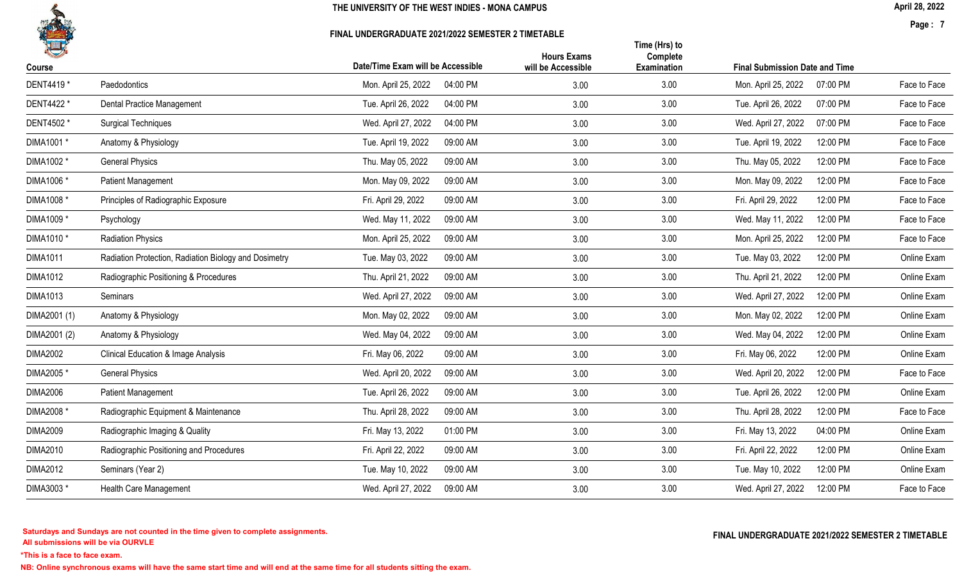

### FINAL UNDERGRADUATE 2021/2022 SEMESTER 2 TIMETABLE

April 28, 2022

Page : 7

| 1<br>Course     |                                                       | Date/Time Exam will be Accessible | <b>Hours Exams</b><br>will be Accessible | Time (Hrs) to<br>Complete<br>Examination | <b>Final Submission Date and Time</b> |                          |
|-----------------|-------------------------------------------------------|-----------------------------------|------------------------------------------|------------------------------------------|---------------------------------------|--------------------------|
| DENT4419 *      | Paedodontics                                          | Mon. April 25, 2022<br>04:00 PM   | 3.00                                     | 3.00                                     | Mon. April 25, 2022                   | 07:00 PM<br>Face to Face |
| DENT4422 *      | <b>Dental Practice Management</b>                     | Tue. April 26, 2022<br>04:00 PM   | 3.00                                     | 3.00                                     | Tue. April 26, 2022                   | 07:00 PM<br>Face to Face |
|                 |                                                       |                                   |                                          |                                          |                                       |                          |
| DENT4502 *      | <b>Surgical Techniques</b>                            | Wed. April 27, 2022<br>04:00 PM   | 3.00                                     | 3.00                                     | Wed. April 27, 2022                   | 07:00 PM<br>Face to Face |
| DIMA1001 *      | Anatomy & Physiology                                  | Tue. April 19, 2022<br>09:00 AM   | 3.00                                     | 3.00                                     | Tue. April 19, 2022                   | 12:00 PM<br>Face to Face |
| DIMA1002 *      | <b>General Physics</b>                                | Thu. May 05, 2022<br>09:00 AM     | 3.00                                     | 3.00                                     | Thu. May 05, 2022                     | 12:00 PM<br>Face to Face |
| DIMA1006 *      | <b>Patient Management</b>                             | Mon. May 09, 2022<br>09:00 AM     | 3.00                                     | 3.00                                     | Mon. May 09, 2022                     | 12:00 PM<br>Face to Face |
| DIMA1008 *      | Principles of Radiographic Exposure                   | Fri. April 29, 2022<br>09:00 AM   | 3.00                                     | 3.00                                     | Fri. April 29, 2022                   | 12:00 PM<br>Face to Face |
| DIMA1009 *      | Psychology                                            | Wed. May 11, 2022<br>09:00 AM     | 3.00                                     | 3.00                                     | Wed. May 11, 2022                     | 12:00 PM<br>Face to Face |
| DIMA1010 *      | <b>Radiation Physics</b>                              | Mon. April 25, 2022<br>09:00 AM   | 3.00                                     | 3.00                                     | Mon. April 25, 2022                   | 12:00 PM<br>Face to Face |
| <b>DIMA1011</b> | Radiation Protection, Radiation Biology and Dosimetry | Tue. May 03, 2022<br>09:00 AM     | 3.00                                     | 3.00                                     | Tue. May 03, 2022                     | Online Exam<br>12:00 PM  |
| <b>DIMA1012</b> | Radiographic Positioning & Procedures                 | Thu. April 21, 2022<br>09:00 AM   | 3.00                                     | 3.00                                     | Thu. April 21, 2022                   | 12:00 PM<br>Online Exam  |
| <b>DIMA1013</b> | Seminars                                              | Wed. April 27, 2022<br>09:00 AM   | 3.00                                     | 3.00                                     | Wed. April 27, 2022                   | 12:00 PM<br>Online Exam  |
| DIMA2001 (1)    | Anatomy & Physiology                                  | Mon. May 02, 2022<br>09:00 AM     | 3.00                                     | 3.00                                     | Mon. May 02, 2022                     | 12:00 PM<br>Online Exam  |
| DIMA2001 (2)    | Anatomy & Physiology                                  | Wed. May 04, 2022<br>09:00 AM     | 3.00                                     | 3.00                                     | Wed. May 04, 2022                     | 12:00 PM<br>Online Exam  |
| DIMA2002        | <b>Clinical Education &amp; Image Analysis</b>        | Fri. May 06, 2022<br>09:00 AM     | 3.00                                     | 3.00                                     | Fri. May 06, 2022                     | 12:00 PM<br>Online Exam  |
| DIMA2005 *      | <b>General Physics</b>                                | 09:00 AM<br>Wed. April 20, 2022   | 3.00                                     | 3.00                                     | Wed. April 20, 2022                   | 12:00 PM<br>Face to Face |
| <b>DIMA2006</b> | Patient Management                                    | Tue. April 26, 2022<br>09:00 AM   | 3.00                                     | 3.00                                     | Tue. April 26, 2022                   | 12:00 PM<br>Online Exam  |
| DIMA2008 *      | Radiographic Equipment & Maintenance                  | Thu. April 28, 2022<br>09:00 AM   | 3.00                                     | 3.00                                     | Thu. April 28, 2022                   | 12:00 PM<br>Face to Face |
| <b>DIMA2009</b> | Radiographic Imaging & Quality                        | Fri. May 13, 2022<br>01:00 PM     | 3.00                                     | 3.00                                     | Fri. May 13, 2022                     | Online Exam<br>04:00 PM  |
| <b>DIMA2010</b> | Radiographic Positioning and Procedures               | Fri. April 22, 2022<br>09:00 AM   | 3.00                                     | 3.00                                     | Fri. April 22, 2022                   | 12:00 PM<br>Online Exam  |
| <b>DIMA2012</b> | Seminars (Year 2)                                     | Tue. May 10, 2022<br>09:00 AM     | 3.00                                     | 3.00                                     | Tue. May 10, 2022                     | 12:00 PM<br>Online Exam  |
| DIMA3003 *      | Health Care Management                                | Wed. April 27, 2022<br>09:00 AM   | 3.00                                     | 3.00                                     | Wed. April 27, 2022                   | 12:00 PM<br>Face to Face |
|                 |                                                       |                                   |                                          |                                          |                                       |                          |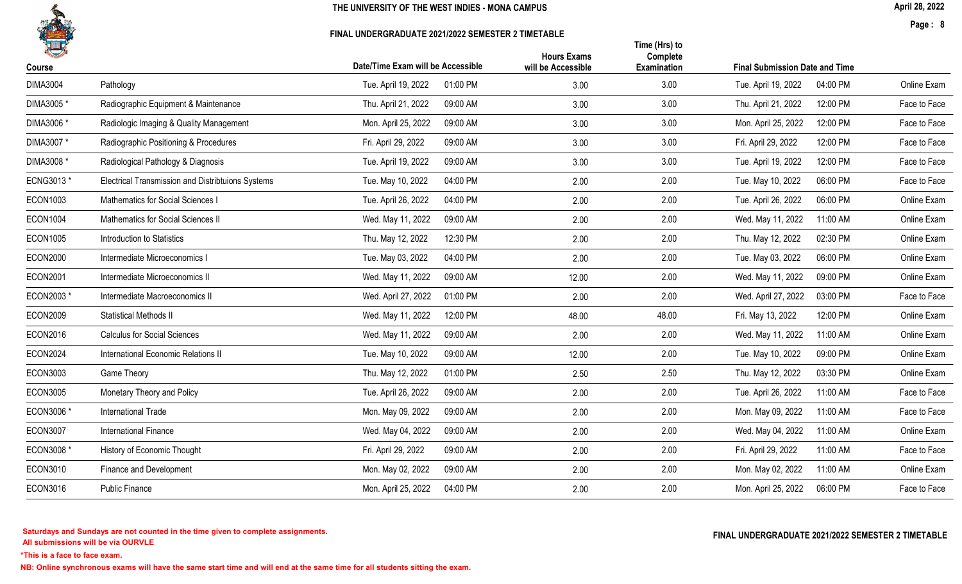

### FINAL UNDERGRADUATE 2021/2022 SEMESTER 2 TIMETABLE

April 28, 2022

Page : 8

|                                                   |                                 | <b>Hours Exams</b>                                                   | Time (Hrs) to<br>Complete  |                                 |                                                                          |
|---------------------------------------------------|---------------------------------|----------------------------------------------------------------------|----------------------------|---------------------------------|--------------------------------------------------------------------------|
|                                                   |                                 |                                                                      |                            |                                 |                                                                          |
|                                                   |                                 |                                                                      |                            |                                 | Online Exam                                                              |
| Radiographic Equipment & Maintenance              | Thu. April 21, 2022<br>09:00 AM | 3.00                                                                 |                            | Thu. April 21, 2022<br>12:00 PM | Face to Face                                                             |
| Radiologic Imaging & Quality Management           | Mon. April 25, 2022<br>09:00 AM | 3.00                                                                 | 3.00                       | Mon. April 25, 2022<br>12:00 PM | Face to Face                                                             |
| Radiographic Positioning & Procedures             | 09:00 AM<br>Fri. April 29, 2022 | 3.00                                                                 | 3.00                       | Fri. April 29, 2022<br>12:00 PM | Face to Face                                                             |
| Radiological Pathology & Diagnosis                | 09:00 AM<br>Tue. April 19, 2022 | 3.00                                                                 | 3.00                       | Tue. April 19, 2022<br>12:00 PM | Face to Face                                                             |
| Electrical Transmission and Distribtuions Systems | 04:00 PM<br>Tue. May 10, 2022   | 2.00                                                                 | 2.00                       | Tue. May 10, 2022<br>06:00 PM   | Face to Face                                                             |
| Mathematics for Social Sciences I                 | 04:00 PM<br>Tue. April 26, 2022 | 2.00                                                                 | 2.00                       | Tue. April 26, 2022<br>06:00 PM | Online Exam                                                              |
| Mathematics for Social Sciences II                | Wed. May 11, 2022<br>09:00 AM   | 2.00                                                                 | 2.00                       | Wed. May 11, 2022<br>11:00 AM   | Online Exam                                                              |
| <b>Introduction to Statistics</b>                 | 12:30 PM<br>Thu. May 12, 2022   | 2.00                                                                 | 2.00                       | Thu. May 12, 2022<br>02:30 PM   | Online Exam                                                              |
| Intermediate Microeconomics I                     | Tue. May 03, 2022<br>04:00 PM   | 2.00                                                                 | 2.00                       | Tue. May 03, 2022<br>06:00 PM   | Online Exam                                                              |
| Intermediate Microeconomics II                    | 09:00 AM<br>Wed. May 11, 2022   | 12.00                                                                | 2.00                       | Wed. May 11, 2022<br>09:00 PM   | Online Exam                                                              |
| Intermediate Macroeconomics II                    | Wed. April 27, 2022<br>01:00 PM | 2.00                                                                 | 2.00                       | Wed. April 27, 2022<br>03:00 PM | Face to Face                                                             |
| <b>Statistical Methods II</b>                     | Wed. May 11, 2022<br>12:00 PM   | 48.00                                                                | 48.00                      | Fri. May 13, 2022<br>12:00 PM   | Online Exam                                                              |
| <b>Calculus for Social Sciences</b>               | Wed. May 11, 2022<br>09:00 AM   | 2.00                                                                 | 2.00                       | Wed. May 11, 2022<br>11:00 AM   | Online Exam                                                              |
| International Economic Relations II               | Tue. May 10, 2022<br>09:00 AM   | 12.00                                                                | 2.00                       | Tue. May 10, 2022<br>09:00 PM   | Online Exam                                                              |
| Game Theory                                       | Thu. May 12, 2022<br>01:00 PM   | 2.50                                                                 | 2.50                       | Thu. May 12, 2022<br>03:30 PM   | Online Exam                                                              |
| Monetary Theory and Policy                        | Tue. April 26, 2022<br>09:00 AM | 2.00                                                                 | 2.00                       | Tue. April 26, 2022<br>11:00 AM | Face to Face                                                             |
| <b>International Trade</b>                        | Mon. May 09, 2022<br>09:00 AM   | 2.00                                                                 | 2.00                       | Mon. May 09, 2022<br>11:00 AM   | Face to Face                                                             |
| International Finance                             | Wed. May 04, 2022<br>09:00 AM   | 2.00                                                                 | 2.00                       | Wed. May 04, 2022<br>11:00 AM   | Online Exam                                                              |
| History of Economic Thought                       | Fri. April 29, 2022<br>09:00 AM | 2.00                                                                 | 2.00                       | Fri. April 29, 2022<br>11:00 AM | Face to Face                                                             |
| Finance and Development                           | Mon. May 02, 2022<br>09:00 AM   | 2.00                                                                 | 2.00                       | Mon. May 02, 2022<br>11:00 AM   | Online Exam                                                              |
| <b>Public Finance</b>                             | Mon. April 25, 2022<br>04:00 PM | 2.00                                                                 | 2.00                       | Mon. April 25, 2022<br>06:00 PM | Face to Face                                                             |
|                                                   | Pathology                       | Date/Time Exam will be Accessible<br>Tue. April 19, 2022<br>01:00 PM | will be Accessible<br>3.00 | Examination<br>3.00<br>3.00     | <b>Final Submission Date and Time</b><br>04:00 PM<br>Tue. April 19, 2022 |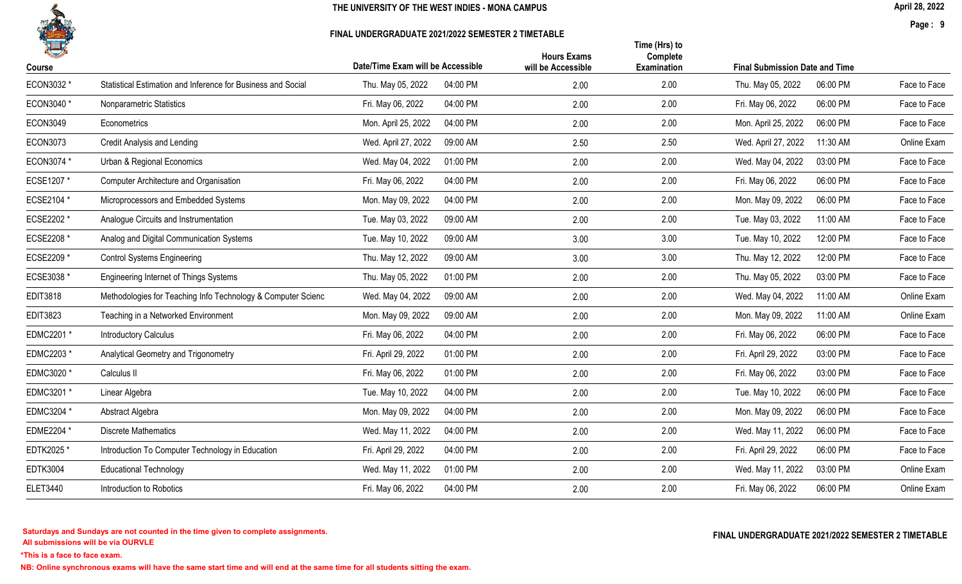

### FINAL UNDERGRADUATE 2021/2022 SEMESTER 2 TIMETABLE

April 28, 2022

Page : 9

| Course          |                                                              | Date/Time Exam will be Accessible | <b>Hours Exams</b><br>will be Accessible | Time (Hrs) to<br>Complete<br><b>Examination</b> | <b>Final Submission Date and Time</b> |              |
|-----------------|--------------------------------------------------------------|-----------------------------------|------------------------------------------|-------------------------------------------------|---------------------------------------|--------------|
| ECON3032 *      | Statistical Estimation and Inference for Business and Social | Thu. May 05, 2022<br>04:00 PM     | 2.00                                     | 2.00                                            | Thu. May 05, 2022<br>06:00 PM         | Face to Face |
| ECON3040 *      | Nonparametric Statistics                                     | Fri. May 06, 2022<br>04:00 PM     | 2.00                                     | 2.00                                            | Fri. May 06, 2022<br>06:00 PM         | Face to Face |
| <b>ECON3049</b> | Econometrics                                                 | Mon. April 25, 2022<br>04:00 PM   | 2.00                                     | 2.00                                            | Mon. April 25, 2022<br>06:00 PM       | Face to Face |
| <b>ECON3073</b> | Credit Analysis and Lending                                  | Wed. April 27, 2022<br>09:00 AM   | 2.50                                     | 2.50                                            | Wed. April 27, 2022<br>11:30 AM       | Online Exam  |
| ECON3074 *      | Urban & Regional Economics                                   | Wed. May 04, 2022<br>01:00 PM     | 2.00                                     | 2.00                                            | Wed. May 04, 2022<br>03:00 PM         | Face to Face |
| ECSE1207 *      | <b>Computer Architecture and Organisation</b>                | Fri. May 06, 2022<br>04:00 PM     | 2.00                                     | 2.00                                            | Fri. May 06, 2022<br>06:00 PM         | Face to Face |
| ECSE2104 *      | Microprocessors and Embedded Systems                         | Mon. May 09, 2022<br>04:00 PM     | 2.00                                     | 2.00                                            | Mon. May 09, 2022<br>06:00 PM         | Face to Face |
| ECSE2202 *      | Analogue Circuits and Instrumentation                        | Tue. May 03, 2022<br>09:00 AM     | 2.00                                     | 2.00                                            | Tue. May 03, 2022<br>11:00 AM         | Face to Face |
| ECSE2208 *      | Analog and Digital Communication Systems                     | Tue. May 10, 2022<br>09:00 AM     | 3.00                                     | 3.00                                            | Tue. May 10, 2022<br>12:00 PM         | Face to Face |
| ECSE2209 *      | <b>Control Systems Engineering</b>                           | Thu. May 12, 2022<br>09:00 AM     | 3.00                                     | 3.00                                            | Thu. May 12, 2022<br>12:00 PM         | Face to Face |
| ECSE3038 *      | <b>Engineering Internet of Things Systems</b>                | Thu. May 05, 2022<br>01:00 PM     | 2.00                                     | 2.00                                            | Thu. May 05, 2022<br>03:00 PM         | Face to Face |
| <b>EDIT3818</b> | Methodologies for Teaching Info Technology & Computer Scienc | 09:00 AM<br>Wed. May 04, 2022     | 2.00                                     | 2.00                                            | Wed. May 04, 2022<br>11:00 AM         | Online Exam  |
| <b>EDIT3823</b> | Teaching in a Networked Environment                          | Mon. May 09, 2022<br>09:00 AM     | 2.00                                     | 2.00                                            | Mon. May 09, 2022<br>11:00 AM         | Online Exam  |
| EDMC2201 *      | <b>Introductory Calculus</b>                                 | Fri. May 06, 2022<br>04:00 PM     | 2.00                                     | 2.00                                            | Fri. May 06, 2022<br>06:00 PM         | Face to Face |
| EDMC2203 *      | Analytical Geometry and Trigonometry                         | Fri. April 29, 2022<br>01:00 PM   | 2.00                                     | 2.00                                            | Fri. April 29, 2022<br>03:00 PM       | Face to Face |
| EDMC3020 *      | Calculus II                                                  | 01:00 PM<br>Fri. May 06, 2022     | 2.00                                     | 2.00                                            | Fri. May 06, 2022<br>03:00 PM         | Face to Face |
| EDMC3201 *      | Linear Algebra                                               | Tue. May 10, 2022<br>04:00 PM     | 2.00                                     | 2.00                                            | Tue. May 10, 2022<br>06:00 PM         | Face to Face |
| EDMC3204 *      | Abstract Algebra                                             | Mon. May 09, 2022<br>04:00 PM     | 2.00                                     | 2.00                                            | Mon. May 09, 2022<br>06:00 PM         | Face to Face |
| EDME2204 *      | <b>Discrete Mathematics</b>                                  | 04:00 PM<br>Wed. May 11, 2022     | 2.00                                     | 2.00                                            | Wed. May 11, 2022<br>06:00 PM         | Face to Face |
| EDTK2025 *      | Introduction To Computer Technology in Education             | Fri. April 29, 2022<br>04:00 PM   | 2.00                                     | 2.00                                            | Fri. April 29, 2022<br>06:00 PM       | Face to Face |
| <b>EDTK3004</b> | <b>Educational Technology</b>                                | Wed. May 11, 2022<br>01:00 PM     | 2.00                                     | 2.00                                            | 03:00 PM<br>Wed. May 11, 2022         | Online Exam  |
| <b>ELET3440</b> | Introduction to Robotics                                     | Fri. May 06, 2022<br>04:00 PM     | 2.00                                     | 2.00                                            | Fri. May 06, 2022<br>06:00 PM         | Online Exam  |
|                 |                                                              |                                   |                                          |                                                 |                                       |              |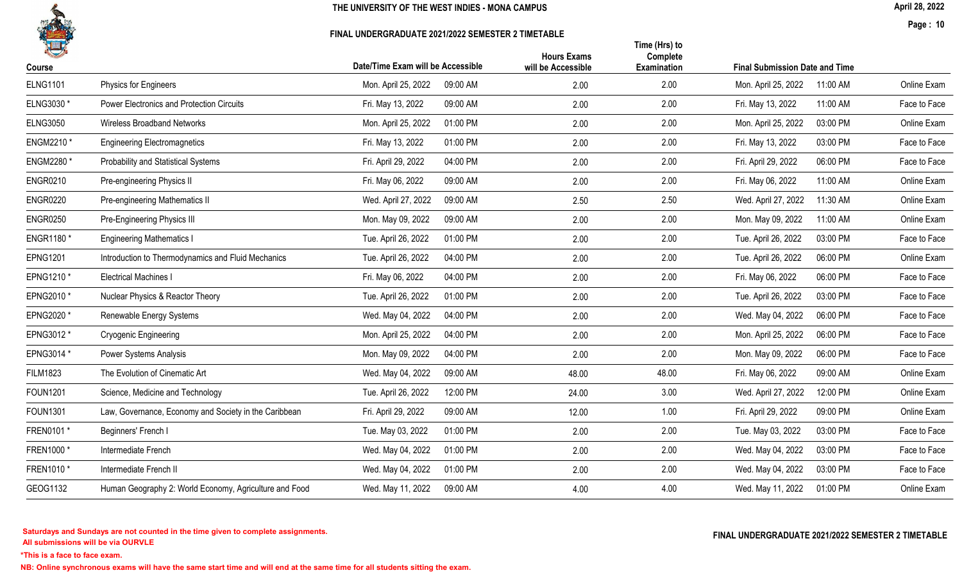

#### FINAL UNDERGRADUATE 2021/2022 SEMESTER 2 TIMETABLE

April 28, 2022

Page : 10

| H               |                                                        | Date/Time Exam will be Accessible | <b>Hours Exams</b> | Time (Hrs) to<br>Complete |                                       |          |              |
|-----------------|--------------------------------------------------------|-----------------------------------|--------------------|---------------------------|---------------------------------------|----------|--------------|
| Course          |                                                        |                                   | will be Accessible | <b>Examination</b>        | <b>Final Submission Date and Time</b> |          |              |
| <b>ELNG1101</b> | Physics for Engineers                                  | Mon. April 25, 2022<br>09:00 AM   | 2.00               | 2.00                      | Mon. April 25, 2022                   | 11:00 AM | Online Exam  |
| ELNG3030*       | <b>Power Electronics and Protection Circuits</b>       | 09:00 AM<br>Fri. May 13, 2022     | 2.00               | 2.00                      | Fri. May 13, 2022                     | 11:00 AM | Face to Face |
| <b>ELNG3050</b> | <b>Wireless Broadband Networks</b>                     | 01:00 PM<br>Mon. April 25, 2022   | 2.00               | 2.00                      | Mon. April 25, 2022                   | 03:00 PM | Online Exam  |
| ENGM2210 *      | <b>Engineering Electromagnetics</b>                    | Fri. May 13, 2022<br>01:00 PM     | 2.00               | 2.00                      | Fri. May 13, 2022                     | 03:00 PM | Face to Face |
| ENGM2280 *      | Probability and Statistical Systems                    | Fri. April 29, 2022<br>04:00 PM   | 2.00               | 2.00                      | Fri. April 29, 2022                   | 06:00 PM | Face to Face |
| <b>ENGR0210</b> | Pre-engineering Physics II                             | Fri. May 06, 2022<br>09:00 AM     | 2.00               | 2.00                      | Fri. May 06, 2022                     | 11:00 AM | Online Exam  |
| <b>ENGR0220</b> | Pre-engineering Mathematics II                         | Wed. April 27, 2022<br>09:00 AM   | 2.50               | 2.50                      | Wed. April 27, 2022                   | 11:30 AM | Online Exam  |
| <b>ENGR0250</b> | Pre-Engineering Physics III                            | Mon. May 09, 2022<br>09:00 AM     | 2.00               | 2.00                      | Mon. May 09, 2022                     | 11:00 AM | Online Exam  |
| ENGR1180*       | <b>Engineering Mathematics I</b>                       | Tue. April 26, 2022<br>01:00 PM   | 2.00               | 2.00                      | Tue. April 26, 2022                   | 03:00 PM | Face to Face |
| <b>EPNG1201</b> | Introduction to Thermodynamics and Fluid Mechanics     | Tue. April 26, 2022<br>04:00 PM   | 2.00               | 2.00                      | Tue. April 26, 2022                   | 06:00 PM | Online Exam  |
| EPNG1210 *      | <b>Electrical Machines I</b>                           | 04:00 PM<br>Fri. May 06, 2022     | 2.00               | 2.00                      | Fri. May 06, 2022                     | 06:00 PM | Face to Face |
| EPNG2010 *      | Nuclear Physics & Reactor Theory                       | Tue. April 26, 2022<br>01:00 PM   | 2.00               | 2.00                      | Tue. April 26, 2022                   | 03:00 PM | Face to Face |
| EPNG2020 *      | Renewable Energy Systems                               | Wed. May 04, 2022<br>04:00 PM     | 2.00               | 2.00                      | Wed. May 04, 2022                     | 06:00 PM | Face to Face |
| EPNG3012 *      | Cryogenic Engineering                                  | Mon. April 25, 2022<br>04:00 PM   | 2.00               | 2.00                      | Mon. April 25, 2022                   | 06:00 PM | Face to Face |
| EPNG3014 *      | Power Systems Analysis                                 | Mon. May 09, 2022<br>04:00 PM     | 2.00               | 2.00                      | Mon. May 09, 2022                     | 06:00 PM | Face to Face |
| <b>FILM1823</b> | The Evolution of Cinematic Art                         | Wed. May 04, 2022<br>09:00 AM     | 48.00              | 48.00                     | Fri. May 06, 2022                     | 09:00 AM | Online Exam  |
| <b>FOUN1201</b> | Science, Medicine and Technology                       | Tue. April 26, 2022<br>12:00 PM   | 24.00              | 3.00                      | Wed. April 27, 2022                   | 12:00 PM | Online Exam  |
| <b>FOUN1301</b> | Law, Governance, Economy and Society in the Caribbean  | Fri. April 29, 2022<br>09:00 AM   | 12.00              | 1.00                      | Fri. April 29, 2022                   | 09:00 PM | Online Exam  |
| FREN0101 *      | Beginners' French I                                    | Tue. May 03, 2022<br>01:00 PM     | 2.00               | 2.00                      | Tue. May 03, 2022                     | 03:00 PM | Face to Face |
| FREN1000*       | Intermediate French                                    | 01:00 PM<br>Wed. May 04, 2022     | 2.00               | 2.00                      | Wed. May 04, 2022                     | 03:00 PM | Face to Face |
| FREN1010*       | Intermediate French II                                 | Wed. May 04, 2022<br>01:00 PM     | 2.00               | 2.00                      | Wed. May 04, 2022                     | 03:00 PM | Face to Face |
| GEOG1132        | Human Geography 2: World Economy, Agriculture and Food | Wed. May 11, 2022<br>09:00 AM     | 4.00               | 4.00                      | Wed. May 11, 2022                     | 01:00 PM | Online Exam  |

All submissions will be via OURVLE Saturdays and Sundays are not counted in the time given to complete assignments. The substitution of the time of the time given to complete assignments. The substitution of the time  $\Gamma$  and  $\Gamma$  and  $\Gamma$  and  $\Gamma$  and  $\Gamma$ 

\*This is a face to face exam.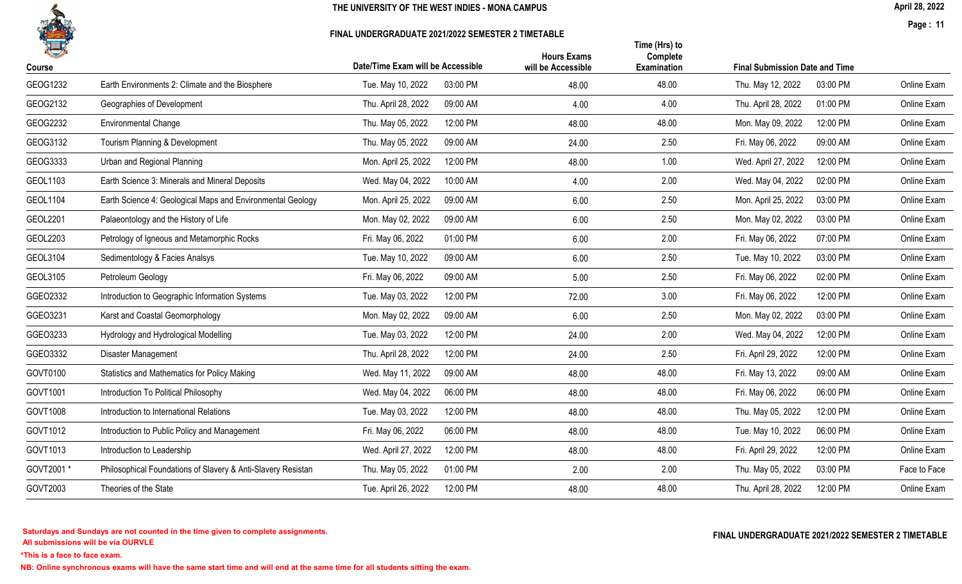

#### FINAL UNDERGRADUATE 2021/2022 SEMESTER 2 TIMETABLE

April 28, 2022

Page : 11

| 一<br>Course     |                                                              | Date/Time Exam will be Accessible | <b>Hours Exams</b><br>will be Accessible | Time (Hrs) to<br>Complete<br>Examination | <b>Final Submission Date and Time</b> |              |
|-----------------|--------------------------------------------------------------|-----------------------------------|------------------------------------------|------------------------------------------|---------------------------------------|--------------|
| GEOG1232        | Earth Environments 2: Climate and the Biosphere              | 03:00 PM<br>Tue. May 10, 2022     | 48.00                                    | 48.00                                    | 03:00 PM<br>Thu. May 12, 2022         | Online Exam  |
| GEOG2132        | Geographies of Development                                   | Thu. April 28, 2022<br>09:00 AM   | 4.00                                     | 4.00                                     | 01:00 PM<br>Thu. April 28, 2022       | Online Exam  |
| GEOG2232        | <b>Environmental Change</b>                                  | Thu. May 05, 2022<br>12:00 PM     | 48.00                                    | 48.00                                    | Mon. May 09, 2022<br>12:00 PM         | Online Exam  |
| GEOG3132        | Tourism Planning & Development                               | Thu. May 05, 2022<br>09:00 AM     | 24.00                                    | 2.50                                     | Fri. May 06, 2022<br>09:00 AM         | Online Exam  |
| GEOG3333        | Urban and Regional Planning                                  | 12:00 PM<br>Mon. April 25, 2022   | 48.00                                    | 1.00                                     | Wed. April 27, 2022<br>12:00 PM       | Online Exam  |
| GEOL1103        | Earth Science 3: Minerals and Mineral Deposits               | Wed. May 04, 2022<br>10:00 AM     | 4.00                                     | 2.00                                     | 02:00 PM<br>Wed. May 04, 2022         | Online Exam  |
| GEOL1104        | Earth Science 4: Geological Maps and Environmental Geology   | Mon. April 25, 2022<br>09:00 AM   | 6.00                                     | 2.50                                     | Mon. April 25, 2022<br>03:00 PM       | Online Exam  |
| <b>GEOL2201</b> | Palaeontology and the History of Life                        | Mon. May 02, 2022<br>09:00 AM     | 6.00                                     | 2.50                                     | 03:00 PM<br>Mon. May 02, 2022         | Online Exam  |
| GEOL2203        | Petrology of Igneous and Metamorphic Rocks                   | Fri. May 06, 2022<br>01:00 PM     | 6.00                                     | 2.00                                     | 07:00 PM<br>Fri. May 06, 2022         | Online Exam  |
| GEOL3104        | Sedimentology & Facies Analsys                               | 09:00 AM<br>Tue. May 10, 2022     | 6.00                                     | 2.50                                     | 03:00 PM<br>Tue. May 10, 2022         | Online Exam  |
| GEOL3105        | Petroleum Geology                                            | Fri. May 06, 2022<br>09:00 AM     | 5.00                                     | 2.50                                     | 02:00 PM<br>Fri. May 06, 2022         | Online Exam  |
| GGE02332        | Introduction to Geographic Information Systems               | Tue. May 03, 2022<br>12:00 PM     | 72.00                                    | 3.00                                     | 12:00 PM<br>Fri. May 06, 2022         | Online Exam  |
| GGE03231        | Karst and Coastal Geomorphology                              | 09:00 AM<br>Mon. May 02, 2022     | 6.00                                     | 2.50                                     | 03:00 PM<br>Mon. May 02, 2022         | Online Exam  |
| GGE03233        | Hydrology and Hydrological Modelling                         | 12:00 PM<br>Tue. May 03, 2022     | 24.00                                    | 2.00                                     | 12:00 PM<br>Wed. May 04, 2022         | Online Exam  |
| GGE03332        | Disaster Management                                          | Thu. April 28, 2022<br>12:00 PM   | 24.00                                    | 2.50                                     | Fri. April 29, 2022<br>12:00 PM       | Online Exam  |
| GOVT0100        | Statistics and Mathematics for Policy Making                 | 09:00 AM<br>Wed. May 11, 2022     | 48.00                                    | 48.00                                    | 09:00 AM<br>Fri. May 13, 2022         | Online Exam  |
| GOVT1001        | Introduction To Political Philosophy                         | Wed. May 04, 2022<br>06:00 PM     | 48.00                                    | 48.00                                    | Fri. May 06, 2022<br>06:00 PM         | Online Exam  |
| GOVT1008        | Introduction to International Relations                      | Tue. May 03, 2022<br>12:00 PM     | 48.00                                    | 48.00                                    | 12:00 PM<br>Thu. May 05, 2022         | Online Exam  |
| GOVT1012        | Introduction to Public Policy and Management                 | Fri. May 06, 2022<br>06:00 PM     | 48.00                                    | 48.00                                    | 06:00 PM<br>Tue. May 10, 2022         | Online Exam  |
| GOVT1013        | Introduction to Leadership                                   | Wed. April 27, 2022<br>12:00 PM   | 48.00                                    | 48.00                                    | 12:00 PM<br>Fri. April 29, 2022       | Online Exam  |
| GOVT2001*       | Philosophical Foundations of Slavery & Anti-Slavery Resistan | 01:00 PM<br>Thu. May 05, 2022     | 2.00                                     | 2.00                                     | 03:00 PM<br>Thu. May 05, 2022         | Face to Face |
| GOVT2003        | Theories of the State                                        | Tue. April 26, 2022<br>12:00 PM   | 48.00                                    | 48.00                                    | Thu. April 28, 2022<br>12:00 PM       | Online Exam  |
|                 |                                                              |                                   |                                          |                                          |                                       |              |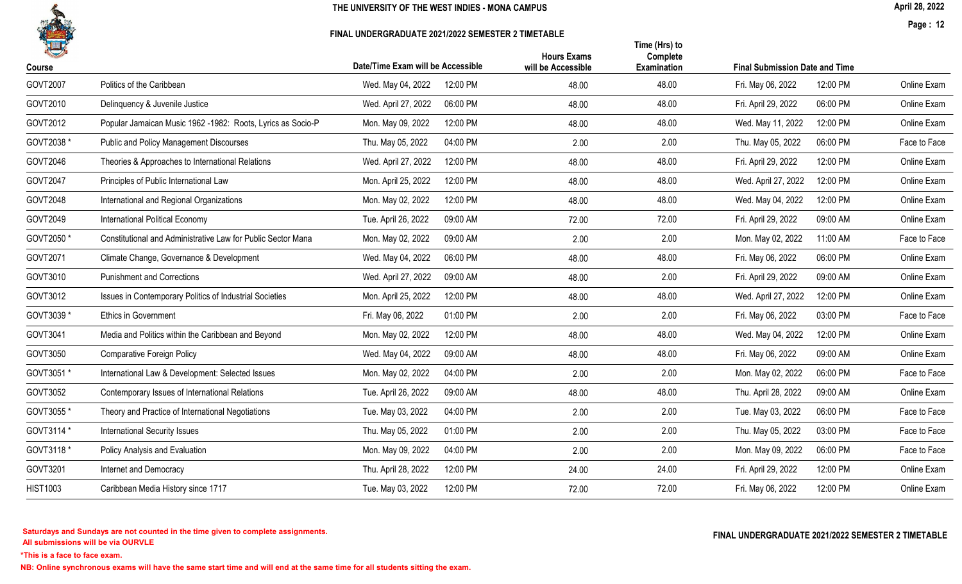

#### FINAL UNDERGRADUATE 2021/2022 SEMESTER 2 TIMETABLE

April 28, 2022

Page : 12

| 化               |                                                              |                                   | <b>Hours Exams</b> | Time (Hrs) to<br>Complete |                                       |              |
|-----------------|--------------------------------------------------------------|-----------------------------------|--------------------|---------------------------|---------------------------------------|--------------|
| Course          |                                                              | Date/Time Exam will be Accessible | will be Accessible | <b>Examination</b>        | <b>Final Submission Date and Time</b> |              |
| GOVT2007        | Politics of the Caribbean                                    | 12:00 PM<br>Wed. May 04, 2022     | 48.00              | 48.00                     | 12:00 PM<br>Fri. May 06, 2022         | Online Exam  |
| GOVT2010        | Delinquency & Juvenile Justice                               | Wed. April 27, 2022<br>06:00 PM   | 48.00              | 48.00                     | Fri. April 29, 2022<br>06:00 PM       | Online Exam  |
| GOVT2012        | Popular Jamaican Music 1962 - 1982: Roots, Lyrics as Socio-P | 12:00 PM<br>Mon. May 09, 2022     | 48.00              | 48.00                     | 12:00 PM<br>Wed. May 11, 2022         | Online Exam  |
| GOVT2038 *      | <b>Public and Policy Management Discourses</b>               | Thu. May 05, 2022<br>04:00 PM     | 2.00               | 2.00                      | Thu. May 05, 2022<br>06:00 PM         | Face to Face |
| GOVT2046        | Theories & Approaches to International Relations             | Wed. April 27, 2022<br>12:00 PM   | 48.00              | 48.00                     | Fri. April 29, 2022<br>12:00 PM       | Online Exam  |
| GOVT2047        | Principles of Public International Law                       | Mon. April 25, 2022<br>12:00 PM   | 48.00              | 48.00                     | Wed. April 27, 2022<br>12:00 PM       | Online Exam  |
| GOVT2048        | International and Regional Organizations                     | 12:00 PM<br>Mon. May 02, 2022     | 48.00              | 48.00                     | 12:00 PM<br>Wed. May 04, 2022         | Online Exam  |
| GOVT2049        | International Political Economy                              | Tue. April 26, 2022<br>09:00 AM   | 72.00              | 72.00                     | Fri. April 29, 2022<br>09:00 AM       | Online Exam  |
| GOVT2050 *      | Constitutional and Administrative Law for Public Sector Mana | 09:00 AM<br>Mon. May 02, 2022     | 2.00               | 2.00                      | 11:00 AM<br>Mon. May 02, 2022         | Face to Face |
| GOVT2071        | Climate Change, Governance & Development                     | Wed. May 04, 2022<br>06:00 PM     | 48.00              | 48.00                     | Fri. May 06, 2022<br>06:00 PM         | Online Exam  |
| GOVT3010        | <b>Punishment and Corrections</b>                            | Wed. April 27, 2022<br>09:00 AM   | 48.00              | 2.00                      | 09:00 AM<br>Fri. April 29, 2022       | Online Exam  |
| GOVT3012        | Issues in Contemporary Politics of Industrial Societies      | Mon. April 25, 2022<br>12:00 PM   | 48.00              | 48.00                     | Wed. April 27, 2022<br>12:00 PM       | Online Exam  |
| GOVT3039 *      | <b>Ethics in Government</b>                                  | 01:00 PM<br>Fri. May 06, 2022     | 2.00               | 2.00                      | Fri. May 06, 2022<br>03:00 PM         | Face to Face |
| GOVT3041        | Media and Politics within the Caribbean and Beyond           | 12:00 PM<br>Mon. May 02, 2022     | 48.00              | 48.00                     | 12:00 PM<br>Wed. May 04, 2022         | Online Exam  |
| GOVT3050        | <b>Comparative Foreign Policy</b>                            | 09:00 AM<br>Wed. May 04, 2022     | 48.00              | 48.00                     | 09:00 AM<br>Fri. May 06, 2022         | Online Exam  |
| GOVT3051 *      | International Law & Development: Selected Issues             | Mon. May 02, 2022<br>04:00 PM     | 2.00               | 2.00                      | 06:00 PM<br>Mon. May 02, 2022         | Face to Face |
| GOVT3052        | Contemporary Issues of International Relations               | Tue. April 26, 2022<br>09:00 AM   | 48.00              | 48.00                     | Thu. April 28, 2022<br>09:00 AM       | Online Exam  |
| GOVT3055 *      | Theory and Practice of International Negotiations            | Tue. May 03, 2022<br>04:00 PM     | 2.00               | 2.00                      | Tue. May 03, 2022<br>06:00 PM         | Face to Face |
| GOVT3114 *      | <b>International Security Issues</b>                         | Thu. May 05, 2022<br>01:00 PM     | 2.00               | 2.00                      | Thu. May 05, 2022<br>03:00 PM         | Face to Face |
| GOVT3118 *      | Policy Analysis and Evaluation                               | Mon. May 09, 2022<br>04:00 PM     | 2.00               | 2.00                      | Mon. May 09, 2022<br>06:00 PM         | Face to Face |
| GOVT3201        | Internet and Democracy                                       | Thu. April 28, 2022<br>12:00 PM   | 24.00              | 24.00                     | Fri. April 29, 2022<br>12:00 PM       | Online Exam  |
| <b>HIST1003</b> | Caribbean Media History since 1717                           | Tue. May 03, 2022<br>12:00 PM     | 72.00              | 72.00                     | 12:00 PM<br>Fri. May 06, 2022         | Online Exam  |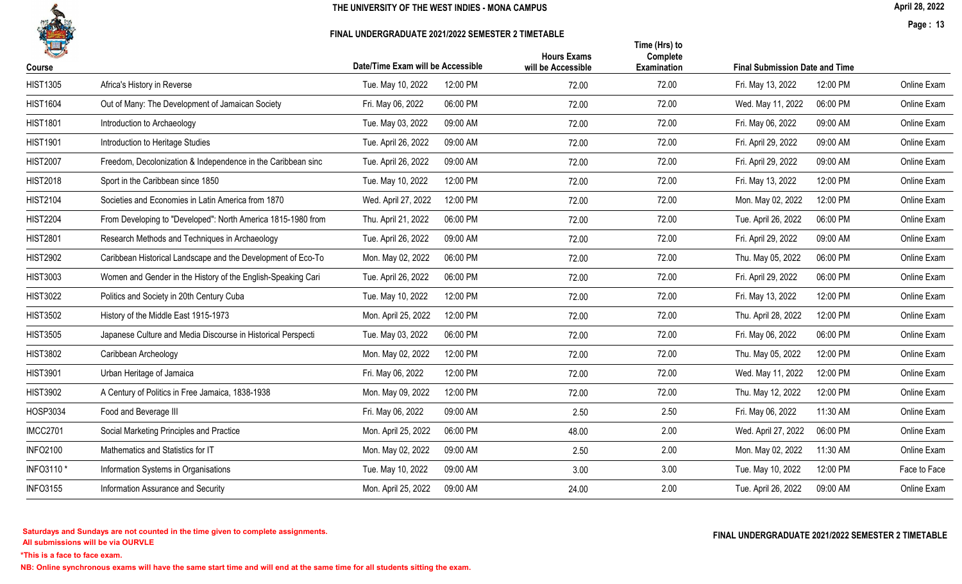

#### FINAL UNDERGRADUATE 2021/2022 SEMESTER 2 TIMETABLE

April 28, 2022

Page : 13

|                 |                                                              | Date/Time Exam will be Accessible |          | <b>Hours Exams</b> | Time (Hrs) to<br>Complete |                                       |          |              |
|-----------------|--------------------------------------------------------------|-----------------------------------|----------|--------------------|---------------------------|---------------------------------------|----------|--------------|
| <b>Course</b>   |                                                              |                                   |          | will be Accessible | <b>Examination</b>        | <b>Final Submission Date and Time</b> |          |              |
| <b>HIST1305</b> | Africa's History in Reverse                                  | Tue. May 10, 2022                 | 12:00 PM | 72.00              | 72.00                     | Fri. May 13, 2022                     | 12:00 PM | Online Exam  |
| <b>HIST1604</b> | Out of Many: The Development of Jamaican Society             | Fri. May 06, 2022                 | 06:00 PM | 72.00              | 72.00                     | Wed. May 11, 2022                     | 06:00 PM | Online Exam  |
| <b>HIST1801</b> | Introduction to Archaeology                                  | Tue. May 03, 2022                 | 09:00 AM | 72.00              | 72.00                     | Fri. May 06, 2022                     | 09:00 AM | Online Exam  |
| <b>HIST1901</b> | Introduction to Heritage Studies                             | Tue. April 26, 2022               | 09:00 AM | 72.00              | 72.00                     | Fri. April 29, 2022                   | 09:00 AM | Online Exam  |
| <b>HIST2007</b> | Freedom, Decolonization & Independence in the Caribbean sinc | Tue. April 26, 2022               | 09:00 AM | 72.00              | 72.00                     | Fri. April 29, 2022                   | 09:00 AM | Online Exam  |
| <b>HIST2018</b> | Sport in the Caribbean since 1850                            | Tue. May 10, 2022                 | 12:00 PM | 72.00              | 72.00                     | Fri. May 13, 2022                     | 12:00 PM | Online Exam  |
| <b>HIST2104</b> | Societies and Economies in Latin America from 1870           | Wed. April 27, 2022               | 12:00 PM | 72.00              | 72.00                     | Mon. May 02, 2022                     | 12:00 PM | Online Exam  |
| <b>HIST2204</b> | From Developing to "Developed": North America 1815-1980 from | Thu. April 21, 2022               | 06:00 PM | 72.00              | 72.00                     | Tue. April 26, 2022                   | 06:00 PM | Online Exam  |
| <b>HIST2801</b> | Research Methods and Techniques in Archaeology               | Tue. April 26, 2022               | 09:00 AM | 72.00              | 72.00                     | Fri. April 29, 2022                   | 09:00 AM | Online Exam  |
| <b>HIST2902</b> | Caribbean Historical Landscape and the Development of Eco-To | Mon. May 02, 2022                 | 06:00 PM | 72.00              | 72.00                     | Thu. May 05, 2022                     | 06:00 PM | Online Exam  |
| <b>HIST3003</b> | Women and Gender in the History of the English-Speaking Cari | Tue. April 26, 2022               | 06:00 PM | 72.00              | 72.00                     | Fri. April 29, 2022                   | 06:00 PM | Online Exam  |
| <b>HIST3022</b> | Politics and Society in 20th Century Cuba                    | Tue. May 10, 2022                 | 12:00 PM | 72.00              | 72.00                     | Fri. May 13, 2022                     | 12:00 PM | Online Exam  |
| <b>HIST3502</b> | History of the Middle East 1915-1973                         | Mon. April 25, 2022               | 12:00 PM | 72.00              | 72.00                     | Thu. April 28, 2022                   | 12:00 PM | Online Exam  |
| <b>HIST3505</b> | Japanese Culture and Media Discourse in Historical Perspecti | Tue. May 03, 2022                 | 06:00 PM | 72.00              | 72.00                     | Fri. May 06, 2022                     | 06:00 PM | Online Exam  |
| <b>HIST3802</b> | Caribbean Archeology                                         | Mon. May 02, 2022                 | 12:00 PM | 72.00              | 72.00                     | Thu. May 05, 2022                     | 12:00 PM | Online Exam  |
| <b>HIST3901</b> | Urban Heritage of Jamaica                                    | Fri. May 06, 2022                 | 12:00 PM | 72.00              | 72.00                     | Wed. May 11, 2022                     | 12:00 PM | Online Exam  |
| <b>HIST3902</b> | A Century of Politics in Free Jamaica, 1838-1938             | Mon. May 09, 2022                 | 12:00 PM | 72.00              | 72.00                     | Thu. May 12, 2022                     | 12:00 PM | Online Exam  |
| HOSP3034        | Food and Beverage III                                        | Fri. May 06, 2022                 | 09:00 AM | 2.50               | 2.50                      | Fri. May 06, 2022                     | 11:30 AM | Online Exam  |
| <b>IMCC2701</b> | Social Marketing Principles and Practice                     | Mon. April 25, 2022               | 06:00 PM | 48.00              | 2.00                      | Wed. April 27, 2022                   | 06:00 PM | Online Exam  |
| <b>INFO2100</b> | Mathematics and Statistics for IT                            | Mon. May 02, 2022                 | 09:00 AM | 2.50               | 2.00                      | Mon. May 02, 2022                     | 11:30 AM | Online Exam  |
| INFO3110*       | Information Systems in Organisations                         | Tue. May 10, 2022                 | 09:00 AM | 3.00               | 3.00                      | Tue. May 10, 2022                     | 12:00 PM | Face to Face |
| <b>INFO3155</b> | Information Assurance and Security                           | Mon. April 25, 2022               | 09:00 AM | 24.00              | 2.00                      | Tue. April 26, 2022                   | 09:00 AM | Online Exam  |
|                 |                                                              |                                   |          |                    |                           |                                       |          |              |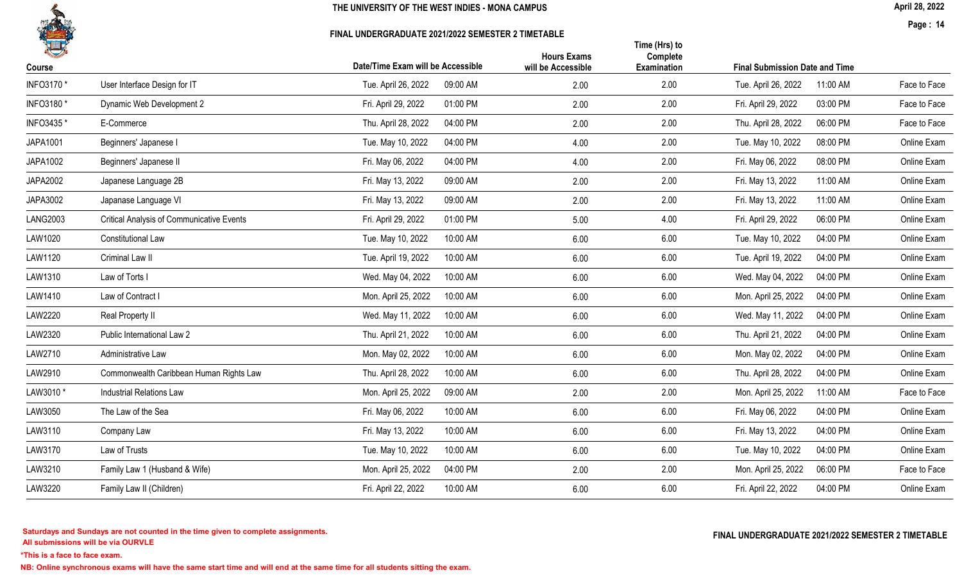

#### FINAL UNDERGRADUATE 2021/2022 SEMESTER 2 TIMETABLE

April 28, 2022

Page : 14

|                                                  |                                 | <b>Hours Exams</b>                                                   | Time (Hrs) to<br>Complete  |                                 |                                                                          |
|--------------------------------------------------|---------------------------------|----------------------------------------------------------------------|----------------------------|---------------------------------|--------------------------------------------------------------------------|
|                                                  |                                 |                                                                      |                            |                                 |                                                                          |
|                                                  |                                 |                                                                      |                            |                                 | Face to Face                                                             |
| Dynamic Web Development 2                        | Fri. April 29, 2022<br>01:00 PM | 2.00                                                                 | 2.00                       | 03:00 PM<br>Fri. April 29, 2022 | Face to Face                                                             |
| E-Commerce                                       | Thu. April 28, 2022<br>04:00 PM | 2.00                                                                 | 2.00                       | Thu. April 28, 2022<br>06:00 PM | Face to Face                                                             |
| Beginners' Japanese I                            | 04:00 PM<br>Tue. May 10, 2022   | 4.00                                                                 | 2.00                       | 08:00 PM<br>Tue. May 10, 2022   | Online Exam                                                              |
| Beginners' Japanese II                           | Fri. May 06, 2022<br>04:00 PM   | 4.00                                                                 | 2.00                       | 08:00 PM<br>Fri. May 06, 2022   | Online Exam                                                              |
| Japanese Language 2B                             | Fri. May 13, 2022<br>09:00 AM   | 2.00                                                                 | 2.00                       | 11:00 AM<br>Fri. May 13, 2022   | Online Exam                                                              |
| Japanase Language VI                             | Fri. May 13, 2022<br>09:00 AM   | 2.00                                                                 | 2.00                       | Fri. May 13, 2022<br>11:00 AM   | Online Exam                                                              |
| <b>Critical Analysis of Communicative Events</b> | 01:00 PM<br>Fri. April 29, 2022 | 5.00                                                                 | 4.00                       | 06:00 PM<br>Fri. April 29, 2022 | Online Exam                                                              |
| Constitutional Law                               | Tue. May 10, 2022<br>10:00 AM   | 6.00                                                                 | 6.00                       | 04:00 PM<br>Tue. May 10, 2022   | Online Exam                                                              |
| Criminal Law II                                  | Tue. April 19, 2022<br>10:00 AM | 6.00                                                                 | 6.00                       | Tue. April 19, 2022<br>04:00 PM | Online Exam                                                              |
| Law of Torts I                                   | Wed. May 04, 2022<br>10:00 AM   | 6.00                                                                 | 6.00                       | 04:00 PM<br>Wed. May 04, 2022   | Online Exam                                                              |
| Law of Contract I                                | Mon. April 25, 2022<br>10:00 AM | 6.00                                                                 | 6.00                       | 04:00 PM<br>Mon. April 25, 2022 | Online Exam                                                              |
| Real Property II                                 | Wed. May 11, 2022<br>10:00 AM   | 6.00                                                                 | 6.00                       | Wed. May 11, 2022<br>04:00 PM   | Online Exam                                                              |
| Public International Law 2                       | Thu. April 21, 2022<br>10:00 AM | 6.00                                                                 | 6.00                       | 04:00 PM<br>Thu. April 21, 2022 | Online Exam                                                              |
| Administrative Law                               | Mon. May 02, 2022<br>10:00 AM   | 6.00                                                                 | 6.00                       | Mon. May 02, 2022<br>04:00 PM   | Online Exam                                                              |
| Commonwealth Caribbean Human Rights Law          | Thu. April 28, 2022<br>10:00 AM | 6.00                                                                 | 6.00                       | 04:00 PM<br>Thu. April 28, 2022 | Online Exam                                                              |
| <b>Industrial Relations Law</b>                  | Mon. April 25, 2022<br>09:00 AM | 2.00                                                                 | 2.00                       | Mon. April 25, 2022<br>11:00 AM | Face to Face                                                             |
| The Law of the Sea                               | 10:00 AM<br>Fri. May 06, 2022   | 6.00                                                                 | 6.00                       | 04:00 PM<br>Fri. May 06, 2022   | Online Exam                                                              |
| Company Law                                      | Fri. May 13, 2022<br>10:00 AM   | 6.00                                                                 | 6.00                       | Fri. May 13, 2022<br>04:00 PM   | Online Exam                                                              |
| Law of Trusts                                    | 10:00 AM<br>Tue. May 10, 2022   | 6.00                                                                 | 6.00                       | 04:00 PM<br>Tue. May 10, 2022   | Online Exam                                                              |
| Family Law 1 (Husband & Wife)                    | 04:00 PM<br>Mon. April 25, 2022 | 2.00                                                                 | 2.00                       | 06:00 PM<br>Mon. April 25, 2022 | Face to Face                                                             |
| Family Law II (Children)                         | Fri. April 22, 2022<br>10:00 AM | 6.00                                                                 | 6.00                       | Fri. April 22, 2022<br>04:00 PM | Online Exam                                                              |
|                                                  | User Interface Design for IT    | Date/Time Exam will be Accessible<br>09:00 AM<br>Tue. April 26, 2022 | will be Accessible<br>2.00 | Examination<br>2.00             | <b>Final Submission Date and Time</b><br>11:00 AM<br>Tue. April 26, 2022 |

All submissions will be via OURVLE Saturdays and Sundays are not counted in the time given to complete assignments. The substitution of the time of the time given to complete assignments. The substitution of the time  $\Gamma$  and  $\Gamma$  and  $\Gamma$  and  $\Gamma$  and  $\Gamma$ 

\*This is a face to face exam.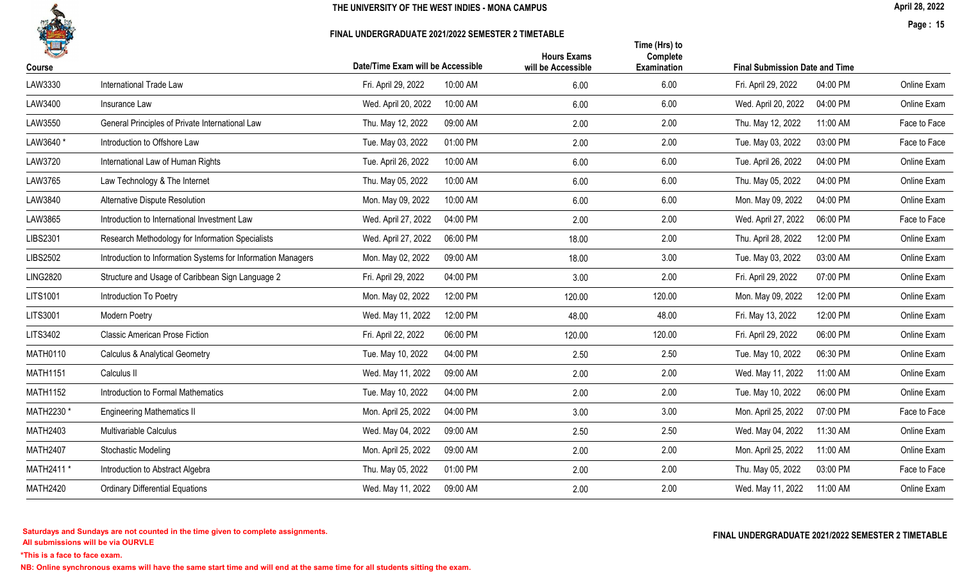

#### FINAL UNDERGRADUATE 2021/2022 SEMESTER 2 TIMETABLE

April 28, 2022

Page : 15

|                                                              |                                          |                                            |                                                                                                                                                                                                                                                                                                                           |                                                          |                                                                                        | Online Exam                                                   |
|--------------------------------------------------------------|------------------------------------------|--------------------------------------------|---------------------------------------------------------------------------------------------------------------------------------------------------------------------------------------------------------------------------------------------------------------------------------------------------------------------------|----------------------------------------------------------|----------------------------------------------------------------------------------------|---------------------------------------------------------------|
|                                                              |                                          |                                            |                                                                                                                                                                                                                                                                                                                           |                                                          |                                                                                        | Online Exam                                                   |
| General Principles of Private International Law              | Thu. May 12, 2022                        | 2.00                                       | 2.00                                                                                                                                                                                                                                                                                                                      | Thu. May 12, 2022                                        | 11:00 AM                                                                               | Face to Face                                                  |
| Introduction to Offshore Law                                 | Tue. May 03, 2022                        | 2.00                                       | 2.00                                                                                                                                                                                                                                                                                                                      | Tue. May 03, 2022                                        | 03:00 PM                                                                               | Face to Face                                                  |
| International Law of Human Rights                            | Tue. April 26, 2022                      | 6.00                                       | 6.00                                                                                                                                                                                                                                                                                                                      | Tue. April 26, 2022                                      | 04:00 PM                                                                               | Online Exam                                                   |
| Law Technology & The Internet                                | Thu. May 05, 2022                        | 6.00                                       | 6.00                                                                                                                                                                                                                                                                                                                      | Thu. May 05, 2022                                        | 04:00 PM                                                                               | Online Exam                                                   |
| Alternative Dispute Resolution                               | Mon. May 09, 2022                        | 6.00                                       | 6.00                                                                                                                                                                                                                                                                                                                      | Mon. May 09, 2022                                        | 04:00 PM                                                                               | Online Exam                                                   |
| Introduction to International Investment Law                 | Wed. April 27, 2022                      | 2.00                                       | 2.00                                                                                                                                                                                                                                                                                                                      | Wed. April 27, 2022                                      | 06:00 PM                                                                               | Face to Face                                                  |
| Research Methodology for Information Specialists             | Wed. April 27, 2022                      | 18.00                                      | 2.00                                                                                                                                                                                                                                                                                                                      | Thu. April 28, 2022                                      | 12:00 PM                                                                               | Online Exam                                                   |
| Introduction to Information Systems for Information Managers | Mon. May 02, 2022                        | 18.00                                      | 3.00                                                                                                                                                                                                                                                                                                                      | Tue. May 03, 2022                                        | 03:00 AM                                                                               | Online Exam                                                   |
| Structure and Usage of Caribbean Sign Language 2             | Fri. April 29, 2022                      | 3.00                                       | 2.00                                                                                                                                                                                                                                                                                                                      | Fri. April 29, 2022                                      | 07:00 PM                                                                               | Online Exam                                                   |
| Introduction To Poetry                                       | Mon. May 02, 2022                        | 120.00                                     | 120.00                                                                                                                                                                                                                                                                                                                    | Mon. May 09, 2022                                        | 12:00 PM                                                                               | Online Exam                                                   |
| Modern Poetry                                                | Wed. May 11, 2022                        | 48.00                                      | 48.00                                                                                                                                                                                                                                                                                                                     | Fri. May 13, 2022                                        | 12:00 PM                                                                               | Online Exam                                                   |
| <b>Classic American Prose Fiction</b>                        | Fri. April 22, 2022                      | 120.00                                     | 120.00                                                                                                                                                                                                                                                                                                                    | Fri. April 29, 2022                                      | 06:00 PM                                                                               | Online Exam                                                   |
| <b>Calculus &amp; Analytical Geometry</b>                    | Tue. May 10, 2022                        | 2.50                                       | 2.50                                                                                                                                                                                                                                                                                                                      | Tue. May 10, 2022                                        | 06:30 PM                                                                               | Online Exam                                                   |
| Calculus II                                                  | Wed. May 11, 2022                        | 2.00                                       | 2.00                                                                                                                                                                                                                                                                                                                      | Wed. May 11, 2022                                        | 11:00 AM                                                                               | Online Exam                                                   |
| Introduction to Formal Mathematics                           | Tue. May 10, 2022                        | 2.00                                       | 2.00                                                                                                                                                                                                                                                                                                                      | Tue. May 10, 2022                                        | 06:00 PM                                                                               | Online Exam                                                   |
| <b>Engineering Mathematics II</b>                            | Mon. April 25, 2022                      | 3.00                                       | 3.00                                                                                                                                                                                                                                                                                                                      | Mon. April 25, 2022                                      | 07:00 PM                                                                               | Face to Face                                                  |
| Multivariable Calculus                                       | Wed. May 04, 2022                        | 2.50                                       | 2.50                                                                                                                                                                                                                                                                                                                      | Wed. May 04, 2022                                        | 11:30 AM                                                                               | Online Exam                                                   |
| <b>Stochastic Modeling</b>                                   | Mon. April 25, 2022                      | 2.00                                       | 2.00                                                                                                                                                                                                                                                                                                                      | Mon. April 25, 2022                                      | 11:00 AM                                                                               | Online Exam                                                   |
| Introduction to Abstract Algebra                             | Thu. May 05, 2022                        | 2.00                                       | 2.00                                                                                                                                                                                                                                                                                                                      | Thu. May 05, 2022                                        | 03:00 PM                                                                               | Face to Face                                                  |
| <b>Ordinary Differential Equations</b>                       | Wed. May 11, 2022                        | 2.00                                       | 2.00                                                                                                                                                                                                                                                                                                                      | Wed. May 11, 2022                                        | 11:00 AM                                                                               | Online Exam                                                   |
|                                                              | International Trade Law<br>Insurance Law | Fri. April 29, 2022<br>Wed. April 20, 2022 | Date/Time Exam will be Accessible<br>10:00 AM<br>6.00<br>10:00 AM<br>6.00<br>09:00 AM<br>01:00 PM<br>10:00 AM<br>10:00 AM<br>10:00 AM<br>04:00 PM<br>06:00 PM<br>09:00 AM<br>04:00 PM<br>12:00 PM<br>12:00 PM<br>06:00 PM<br>04:00 PM<br>09:00 AM<br>04:00 PM<br>04:00 PM<br>09:00 AM<br>09:00 AM<br>01:00 PM<br>09:00 AM | <b>Hours Exams</b><br>will be Accessible<br>6.00<br>6.00 | Time (Hrs) to<br>Complete<br>Examination<br>Fri. April 29, 2022<br>Wed. April 20, 2022 | <b>Final Submission Date and Time</b><br>04:00 PM<br>04:00 PM |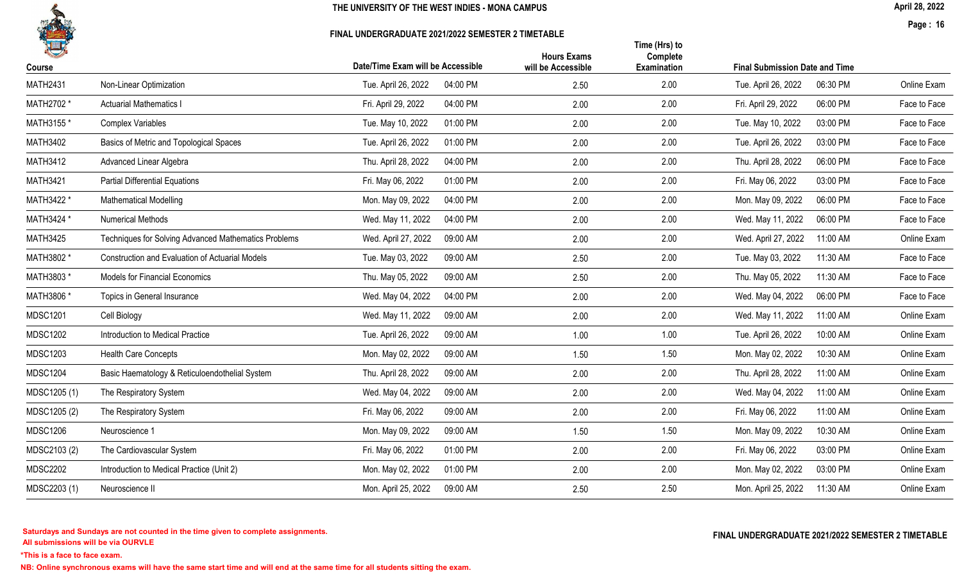

#### FINAL UNDERGRADUATE 2021/2022 SEMESTER 2 TIMETABLE

April 28, 2022

Page : 16

| 一<br>Course     |                                                      | Date/Time Exam will be Accessible | <b>Hours Exams</b><br>will be Accessible | Time (Hrs) to<br>Complete<br>Examination | <b>Final Submission Date and Time</b> |          |              |
|-----------------|------------------------------------------------------|-----------------------------------|------------------------------------------|------------------------------------------|---------------------------------------|----------|--------------|
| <b>MATH2431</b> | Non-Linear Optimization                              | Tue. April 26, 2022<br>04:00 PM   | 2.50                                     | 2.00                                     | Tue. April 26, 2022                   | 06:30 PM | Online Exam  |
| MATH2702 *      | <b>Actuarial Mathematics I</b>                       | Fri. April 29, 2022<br>04:00 PM   | 2.00                                     | 2.00                                     | Fri. April 29, 2022                   | 06:00 PM | Face to Face |
| MATH3155 *      | <b>Complex Variables</b>                             | Tue. May 10, 2022<br>01:00 PM     | 2.00                                     | 2.00                                     | Tue. May 10, 2022                     | 03:00 PM | Face to Face |
| <b>MATH3402</b> | Basics of Metric and Topological Spaces              | Tue. April 26, 2022<br>01:00 PM   | 2.00                                     | 2.00                                     | Tue. April 26, 2022                   | 03:00 PM | Face to Face |
| <b>MATH3412</b> | Advanced Linear Algebra                              | Thu. April 28, 2022<br>04:00 PM   | 2.00                                     | 2.00                                     | Thu. April 28, 2022                   | 06:00 PM | Face to Face |
| <b>MATH3421</b> | <b>Partial Differential Equations</b>                | Fri. May 06, 2022<br>01:00 PM     | 2.00                                     | 2.00                                     | Fri. May 06, 2022                     | 03:00 PM | Face to Face |
| MATH3422 *      | <b>Mathematical Modelling</b>                        | 04:00 PM<br>Mon. May 09, 2022     | 2.00                                     | 2.00                                     | Mon. May 09, 2022                     | 06:00 PM | Face to Face |
| MATH3424 *      | <b>Numerical Methods</b>                             | Wed. May 11, 2022<br>04:00 PM     | 2.00                                     | 2.00                                     | Wed. May 11, 2022                     | 06:00 PM | Face to Face |
| <b>MATH3425</b> | Techniques for Solving Advanced Mathematics Problems | Wed. April 27, 2022<br>09:00 AM   | 2.00                                     | 2.00                                     | Wed. April 27, 2022                   | 11:00 AM | Online Exam  |
| MATH3802 *      | Construction and Evaluation of Actuarial Models      | 09:00 AM<br>Tue. May 03, 2022     | 2.50                                     | 2.00                                     | Tue. May 03, 2022                     | 11:30 AM | Face to Face |
| MATH3803 *      | <b>Models for Financial Economics</b>                | Thu. May 05, 2022<br>09:00 AM     | 2.50                                     | 2.00                                     | Thu. May 05, 2022                     | 11:30 AM | Face to Face |
| MATH3806 *      | Topics in General Insurance                          | Wed. May 04, 2022<br>04:00 PM     | 2.00                                     | 2.00                                     | Wed. May 04, 2022                     | 06:00 PM | Face to Face |
| <b>MDSC1201</b> | Cell Biology                                         | Wed. May 11, 2022<br>09:00 AM     | 2.00                                     | 2.00                                     | Wed. May 11, 2022                     | 11:00 AM | Online Exam  |
| <b>MDSC1202</b> | Introduction to Medical Practice                     | Tue. April 26, 2022<br>09:00 AM   | 1.00                                     | 1.00                                     | Tue. April 26, 2022                   | 10:00 AM | Online Exam  |
| <b>MDSC1203</b> | <b>Health Care Concepts</b>                          | Mon. May 02, 2022<br>09:00 AM     | 1.50                                     | 1.50                                     | Mon. May 02, 2022                     | 10:30 AM | Online Exam  |
| <b>MDSC1204</b> | Basic Haematology & Reticuloendothelial System       | Thu. April 28, 2022<br>09:00 AM   | 2.00                                     | 2.00                                     | Thu. April 28, 2022                   | 11:00 AM | Online Exam  |
| MDSC1205 (1)    | The Respiratory System                               | Wed. May 04, 2022<br>09:00 AM     | 2.00                                     | 2.00                                     | Wed. May 04, 2022                     | 11:00 AM | Online Exam  |
| MDSC1205 (2)    | The Respiratory System                               | Fri. May 06, 2022<br>09:00 AM     | 2.00                                     | 2.00                                     | Fri. May 06, 2022                     | 11:00 AM | Online Exam  |
| <b>MDSC1206</b> | Neuroscience 1                                       | Mon. May 09, 2022<br>09:00 AM     | 1.50                                     | 1.50                                     | Mon. May 09, 2022                     | 10:30 AM | Online Exam  |
| MDSC2103 (2)    | The Cardiovascular System                            | Fri. May 06, 2022<br>01:00 PM     | 2.00                                     | 2.00                                     | Fri. May 06, 2022                     | 03:00 PM | Online Exam  |
| <b>MDSC2202</b> | Introduction to Medical Practice (Unit 2)            | 01:00 PM<br>Mon. May 02, 2022     | 2.00                                     | 2.00                                     | Mon. May 02, 2022                     | 03:00 PM | Online Exam  |
| MDSC2203 (1)    | Neuroscience II                                      | Mon. April 25, 2022<br>09:00 AM   | 2.50                                     | 2.50                                     | Mon. April 25, 2022                   | 11:30 AM | Online Exam  |
|                 |                                                      |                                   |                                          |                                          |                                       |          |              |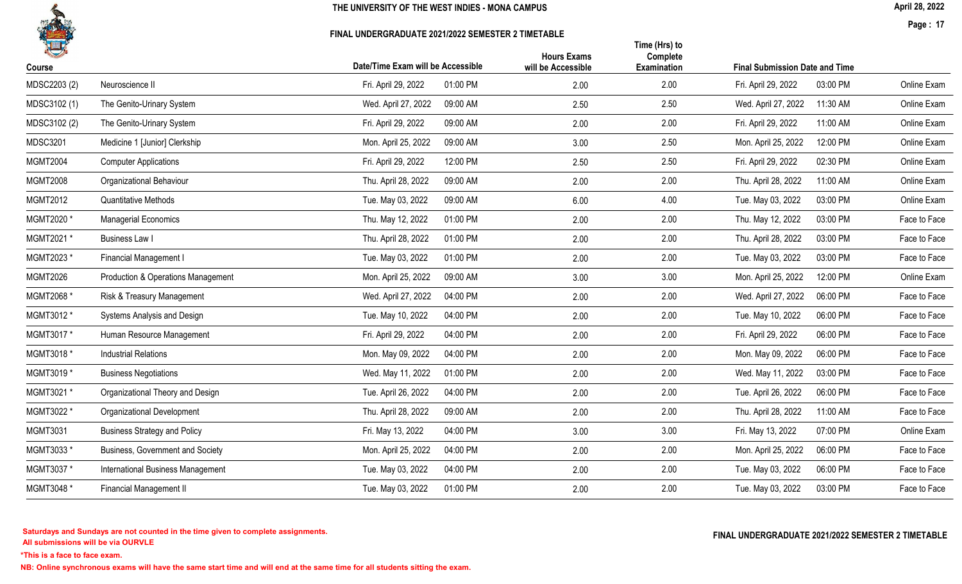

#### FINAL UNDERGRADUATE 2021/2022 SEMESTER 2 TIMETABLE

April 28, 2022

Page : 17

|                 |                                     | Date/Time Exam will be Accessible | <b>Hours Exams</b> | Time (Hrs) to<br>Complete |                     |                                       |              |  |
|-----------------|-------------------------------------|-----------------------------------|--------------------|---------------------------|---------------------|---------------------------------------|--------------|--|
| Course          |                                     |                                   | will be Accessible | Examination               |                     | <b>Final Submission Date and Time</b> |              |  |
| MDSC2203 (2)    | Neuroscience II                     | 01:00 PM<br>Fri. April 29, 2022   | 2.00               | 2.00                      | Fri. April 29, 2022 | 03:00 PM                              | Online Exam  |  |
| MDSC3102 (1)    | The Genito-Urinary System           | Wed. April 27, 2022<br>09:00 AM   | 2.50               | 2.50                      | Wed. April 27, 2022 | 11:30 AM                              | Online Exam  |  |
| MDSC3102 (2)    | The Genito-Urinary System           | Fri. April 29, 2022<br>09:00 AM   | 2.00               | 2.00                      | Fri. April 29, 2022 | 11:00 AM                              | Online Exam  |  |
| <b>MDSC3201</b> | Medicine 1 [Junior] Clerkship       | 09:00 AM<br>Mon. April 25, 2022   | 3.00               | 2.50                      | Mon. April 25, 2022 | 12:00 PM                              | Online Exam  |  |
| <b>MGMT2004</b> | <b>Computer Applications</b>        | Fri. April 29, 2022<br>12:00 PM   | 2.50               | 2.50                      | Fri. April 29, 2022 | 02:30 PM                              | Online Exam  |  |
| <b>MGMT2008</b> | Organizational Behaviour            | Thu. April 28, 2022<br>09:00 AM   | 2.00               | 2.00                      | Thu. April 28, 2022 | 11:00 AM                              | Online Exam  |  |
| <b>MGMT2012</b> | <b>Quantitative Methods</b>         | 09:00 AM<br>Tue. May 03, 2022     | 6.00               | 4.00                      | Tue. May 03, 2022   | 03:00 PM                              | Online Exam  |  |
| MGMT2020*       | <b>Managerial Economics</b>         | Thu. May 12, 2022<br>01:00 PM     | 2.00               | 2.00                      | Thu. May 12, 2022   | 03:00 PM                              | Face to Face |  |
| MGMT2021 *      | <b>Business Law I</b>               | Thu. April 28, 2022<br>01:00 PM   | 2.00               | 2.00                      | Thu. April 28, 2022 | 03:00 PM                              | Face to Face |  |
| MGMT2023 *      | Financial Management I              | Tue. May 03, 2022<br>01:00 PM     | 2.00               | 2.00                      | Tue. May 03, 2022   | 03:00 PM                              | Face to Face |  |
| <b>MGMT2026</b> | Production & Operations Management  | 09:00 AM<br>Mon. April 25, 2022   | 3.00               | 3.00                      | Mon. April 25, 2022 | 12:00 PM                              | Online Exam  |  |
| MGMT2068 *      | Risk & Treasury Management          | Wed. April 27, 2022<br>04:00 PM   | 2.00               | 2.00                      | Wed. April 27, 2022 | 06:00 PM                              | Face to Face |  |
| MGMT3012 *      | Systems Analysis and Design         | 04:00 PM<br>Tue. May 10, 2022     | 2.00               | 2.00                      | Tue. May 10, 2022   | 06:00 PM                              | Face to Face |  |
| MGMT3017*       | Human Resource Management           | Fri. April 29, 2022<br>04:00 PM   | 2.00               | 2.00                      | Fri. April 29, 2022 | 06:00 PM                              | Face to Face |  |
| MGMT3018 *      | <b>Industrial Relations</b>         | Mon. May 09, 2022<br>04:00 PM     | 2.00               | 2.00                      | Mon. May 09, 2022   | 06:00 PM                              | Face to Face |  |
| MGMT3019*       | <b>Business Negotiations</b>        | Wed. May 11, 2022<br>01:00 PM     | 2.00               | 2.00                      | Wed. May 11, 2022   | 03:00 PM                              | Face to Face |  |
| MGMT3021 *      | Organizational Theory and Design    | Tue. April 26, 2022<br>04:00 PM   | 2.00               | 2.00                      | Tue. April 26, 2022 | 06:00 PM                              | Face to Face |  |
| MGMT3022 *      | <b>Organizational Development</b>   | Thu. April 28, 2022<br>09:00 AM   | 2.00               | 2.00                      | Thu. April 28, 2022 | 11:00 AM                              | Face to Face |  |
| <b>MGMT3031</b> | <b>Business Strategy and Policy</b> | Fri. May 13, 2022<br>04:00 PM     | 3.00               | 3.00                      | Fri. May 13, 2022   | 07:00 PM                              | Online Exam  |  |
| MGMT3033*       | Business, Government and Society    | Mon. April 25, 2022<br>04:00 PM   | 2.00               | 2.00                      | Mon. April 25, 2022 | 06:00 PM                              | Face to Face |  |
| MGMT3037 *      | International Business Management   | Tue. May 03, 2022<br>04:00 PM     | 2.00               | 2.00                      | Tue. May 03, 2022   | 06:00 PM                              | Face to Face |  |
| MGMT3048 *      | <b>Financial Management II</b>      | 01:00 PM<br>Tue. May 03, 2022     | 2.00               | 2.00                      | Tue. May 03, 2022   | 03:00 PM                              | Face to Face |  |
|                 |                                     |                                   |                    |                           |                     |                                       |              |  |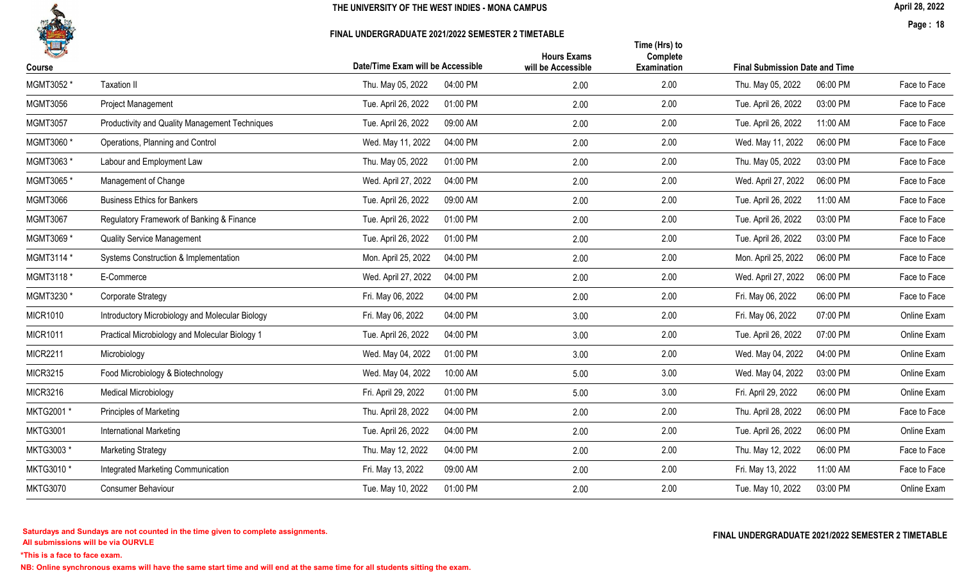### FINAL UNDERGRADUATE 2021/2022 SEMESTER 2 TIMETABLE

Page : 18

| H               |                                                 |                                   | <b>Hours Exams</b> | Time (Hrs) to<br>Complete |                                       |              |
|-----------------|-------------------------------------------------|-----------------------------------|--------------------|---------------------------|---------------------------------------|--------------|
| Course          |                                                 | Date/Time Exam will be Accessible | will be Accessible | <b>Examination</b>        | <b>Final Submission Date and Time</b> |              |
| MGMT3052 *      | <b>Taxation II</b>                              | 04:00 PM<br>Thu. May 05, 2022     | 2.00               | 2.00                      | 06:00 PM<br>Thu. May 05, 2022         | Face to Face |
| <b>MGMT3056</b> | Project Management                              | 01:00 PM<br>Tue. April 26, 2022   | 2.00               | 2.00                      | Tue. April 26, 2022<br>03:00 PM       | Face to Face |
| <b>MGMT3057</b> | Productivity and Quality Management Techniques  | Tue. April 26, 2022<br>09:00 AM   | 2.00               | 2.00                      | Tue. April 26, 2022<br>11:00 AM       | Face to Face |
| MGMT3060 *      | Operations, Planning and Control                | 04:00 PM<br>Wed. May 11, 2022     | 2.00               | 2.00                      | Wed. May 11, 2022<br>06:00 PM         | Face to Face |
| MGMT3063*       | Labour and Employment Law                       | Thu. May 05, 2022<br>01:00 PM     | 2.00               | 2.00                      | Thu. May 05, 2022<br>03:00 PM         | Face to Face |
| MGMT3065*       | Management of Change                            | 04:00 PM<br>Wed. April 27, 2022   | 2.00               | 2.00                      | Wed. April 27, 2022<br>06:00 PM       | Face to Face |
| <b>MGMT3066</b> | <b>Business Ethics for Bankers</b>              | Tue. April 26, 2022<br>09:00 AM   | 2.00               | 2.00                      | Tue. April 26, 2022<br>11:00 AM       | Face to Face |
| <b>MGMT3067</b> | Regulatory Framework of Banking & Finance       | Tue. April 26, 2022<br>01:00 PM   | 2.00               | 2.00                      | Tue. April 26, 2022<br>03:00 PM       | Face to Face |
| MGMT3069 *      | <b>Quality Service Management</b>               | Tue. April 26, 2022<br>01:00 PM   | 2.00               | 2.00                      | Tue. April 26, 2022<br>03:00 PM       | Face to Face |
| MGMT3114 *      | Systems Construction & Implementation           | Mon. April 25, 2022<br>04:00 PM   | 2.00               | 2.00                      | Mon. April 25, 2022<br>06:00 PM       | Face to Face |
| MGMT3118 *      | E-Commerce                                      | 04:00 PM<br>Wed. April 27, 2022   | 2.00               | 2.00                      | Wed. April 27, 2022<br>06:00 PM       | Face to Face |
| MGMT3230 *      | Corporate Strategy                              | Fri. May 06, 2022<br>04:00 PM     | 2.00               | 2.00                      | Fri. May 06, 2022<br>06:00 PM         | Face to Face |
| <b>MICR1010</b> | Introductory Microbiology and Molecular Biology | Fri. May 06, 2022<br>04:00 PM     | 3.00               | 2.00                      | Fri. May 06, 2022<br>07:00 PM         | Online Exam  |
| <b>MICR1011</b> | Practical Microbiology and Molecular Biology 1  | Tue. April 26, 2022<br>04:00 PM   | 3.00               | 2.00                      | Tue. April 26, 2022<br>07:00 PM       | Online Exam  |
| <b>MICR2211</b> | Microbiology                                    | Wed. May 04, 2022<br>01:00 PM     | 3.00               | 2.00                      | Wed. May 04, 2022<br>04:00 PM         | Online Exam  |
| <b>MICR3215</b> | Food Microbiology & Biotechnology               | Wed. May 04, 2022<br>10:00 AM     | 5.00               | 3.00                      | Wed. May 04, 2022<br>03:00 PM         | Online Exam  |
| <b>MICR3216</b> | <b>Medical Microbiology</b>                     | Fri. April 29, 2022<br>01:00 PM   | 5.00               | 3.00                      | Fri. April 29, 2022<br>06:00 PM       | Online Exam  |
| MKTG2001*       | Principles of Marketing                         | 04:00 PM<br>Thu. April 28, 2022   | 2.00               | 2.00                      | Thu. April 28, 2022<br>06:00 PM       | Face to Face |
| <b>MKTG3001</b> | International Marketing                         | Tue. April 26, 2022<br>04:00 PM   | 2.00               | 2.00                      | Tue. April 26, 2022<br>06:00 PM       | Online Exam  |
| MKTG3003*       | <b>Marketing Strategy</b>                       | Thu. May 12, 2022<br>04:00 PM     | 2.00               | 2.00                      | Thu. May 12, 2022<br>06:00 PM         | Face to Face |
| MKTG3010 *      | Integrated Marketing Communication              | Fri. May 13, 2022<br>09:00 AM     | 2.00               | 2.00                      | Fri. May 13, 2022<br>11:00 AM         | Face to Face |
| <b>MKTG3070</b> | Consumer Behaviour                              | Tue. May 10, 2022<br>01:00 PM     | 2.00               | 2.00                      | Tue. May 10, 2022<br>03:00 PM         | Online Exam  |

All submissions will be via OURVLE Saturdays and Sundays are not counted in the time given to complete assignments. The substitution of the time of the time given to complete assignments. The substitution of the time  $\Gamma$  and  $\Gamma$  and  $\Gamma$  and  $\Gamma$  and  $\Gamma$ 

\*This is a face to face exam.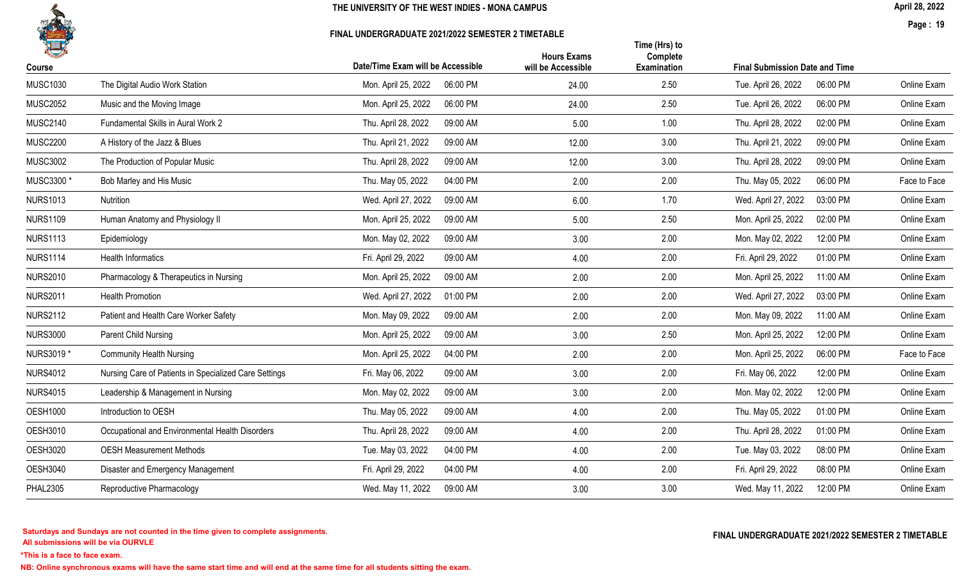

#### FINAL UNDERGRADUATE 2021/2022 SEMESTER 2 TIMETABLE

April 28, 2022

Page : 19

| 人               |                                                       |                                   | <b>Hours Exams</b> | Time (Hrs) to<br>Complete |                                       |              |
|-----------------|-------------------------------------------------------|-----------------------------------|--------------------|---------------------------|---------------------------------------|--------------|
| Course          |                                                       | Date/Time Exam will be Accessible | will be Accessible | Examination               | <b>Final Submission Date and Time</b> |              |
| <b>MUSC1030</b> | The Digital Audio Work Station                        | Mon. April 25, 2022<br>06:00 PM   | 24.00              | 2.50                      | 06:00 PM<br>Tue. April 26, 2022       | Online Exam  |
| <b>MUSC2052</b> | Music and the Moving Image                            | Mon. April 25, 2022<br>06:00 PM   | 24.00              | 2.50                      | 06:00 PM<br>Tue. April 26, 2022       | Online Exam  |
| <b>MUSC2140</b> | Fundamental Skills in Aural Work 2                    | Thu. April 28, 2022<br>09:00 AM   | 5.00               | 1.00                      | Thu. April 28, 2022<br>02:00 PM       | Online Exam  |
| <b>MUSC2200</b> | A History of the Jazz & Blues                         | 09:00 AM<br>Thu. April 21, 2022   | 12.00              | 3.00                      | Thu. April 21, 2022<br>09:00 PM       | Online Exam  |
| <b>MUSC3002</b> | The Production of Popular Music                       | 09:00 AM<br>Thu. April 28, 2022   | 12.00              | 3.00                      | Thu. April 28, 2022<br>09:00 PM       | Online Exam  |
| MUSC3300 *      | Bob Marley and His Music                              | Thu. May 05, 2022<br>04:00 PM     | 2.00               | 2.00                      | 06:00 PM<br>Thu. May 05, 2022         | Face to Face |
| <b>NURS1013</b> | Nutrition                                             | Wed. April 27, 2022<br>09:00 AM   | 6.00               | 1.70                      | Wed. April 27, 2022<br>03:00 PM       | Online Exam  |
| <b>NURS1109</b> | Human Anatomy and Physiology II                       | Mon. April 25, 2022<br>09:00 AM   | 5.00               | 2.50                      | 02:00 PM<br>Mon. April 25, 2022       | Online Exam  |
| <b>NURS1113</b> | Epidemiology                                          | Mon. May 02, 2022<br>09:00 AM     | 3.00               | 2.00                      | 12:00 PM<br>Mon. May 02, 2022         | Online Exam  |
| <b>NURS1114</b> | <b>Health Informatics</b>                             | Fri. April 29, 2022<br>09:00 AM   | 4.00               | 2.00                      | 01:00 PM<br>Fri. April 29, 2022       | Online Exam  |
| <b>NURS2010</b> | Pharmacology & Therapeutics in Nursing                | 09:00 AM<br>Mon. April 25, 2022   | 2.00               | 2.00                      | Mon. April 25, 2022<br>11:00 AM       | Online Exam  |
| <b>NURS2011</b> | <b>Health Promotion</b>                               | Wed. April 27, 2022<br>01:00 PM   | 2.00               | 2.00                      | Wed. April 27, 2022<br>03:00 PM       | Online Exam  |
| <b>NURS2112</b> | Patient and Health Care Worker Safety                 | Mon. May 09, 2022<br>09:00 AM     | 2.00               | 2.00                      | Mon. May 09, 2022<br>11:00 AM         | Online Exam  |
| <b>NURS3000</b> | Parent Child Nursing                                  | Mon. April 25, 2022<br>09:00 AM   | 3.00               | 2.50                      | Mon. April 25, 2022<br>12:00 PM       | Online Exam  |
| NURS3019 *      | <b>Community Health Nursing</b>                       | Mon. April 25, 2022<br>04:00 PM   | 2.00               | 2.00                      | Mon. April 25, 2022<br>06:00 PM       | Face to Face |
| <b>NURS4012</b> | Nursing Care of Patients in Specialized Care Settings | 09:00 AM<br>Fri. May 06, 2022     | 3.00               | 2.00                      | 12:00 PM<br>Fri. May 06, 2022         | Online Exam  |
| <b>NURS4015</b> | Leadership & Management in Nursing                    | Mon. May 02, 2022<br>09:00 AM     | 3.00               | 2.00                      | 12:00 PM<br>Mon. May 02, 2022         | Online Exam  |
| <b>OESH1000</b> | Introduction to OESH                                  | Thu. May 05, 2022<br>09:00 AM     | 4.00               | 2.00                      | Thu. May 05, 2022<br>01:00 PM         | Online Exam  |
| <b>OESH3010</b> | Occupational and Environmental Health Disorders       | Thu. April 28, 2022<br>09:00 AM   | 4.00               | 2.00                      | Thu. April 28, 2022<br>01:00 PM       | Online Exam  |
| <b>OESH3020</b> | <b>OESH Measurement Methods</b>                       | Tue. May 03, 2022<br>04:00 PM     | 4.00               | 2.00                      | Tue. May 03, 2022<br>08:00 PM         | Online Exam  |
| <b>OESH3040</b> | Disaster and Emergency Management                     | Fri. April 29, 2022<br>04:00 PM   | 4.00               | 2.00                      | Fri. April 29, 2022<br>08:00 PM       | Online Exam  |
| <b>PHAL2305</b> | Reproductive Pharmacology                             | Wed. May 11, 2022<br>09:00 AM     | 3.00               | 3.00                      | Wed. May 11, 2022<br>12:00 PM         | Online Exam  |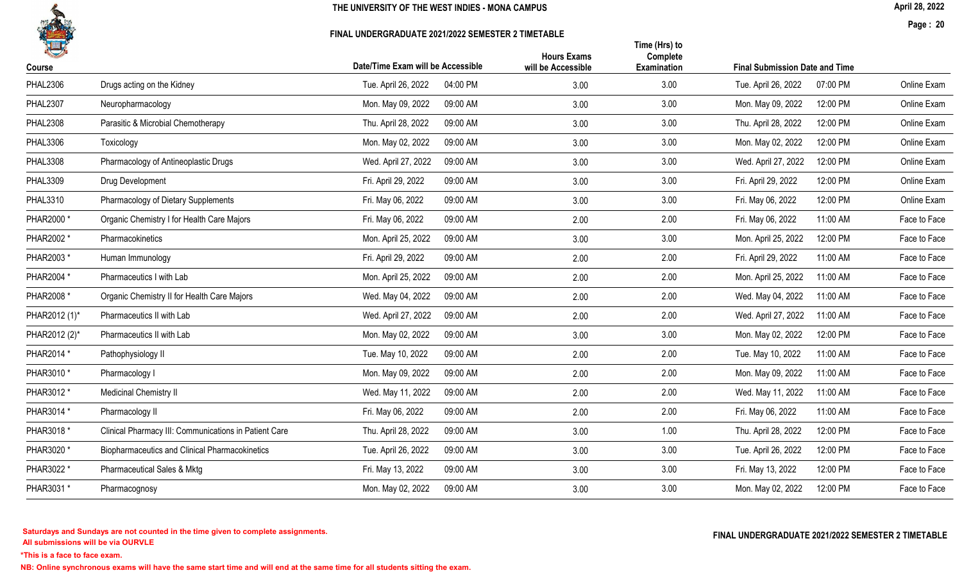

#### FINAL UNDERGRADUATE 2021/2022 SEMESTER 2 TIMETABLE

April 28, 2022

Page : 20

| 4               |                                                       |                                   | <b>Hours Exams</b> | Time (Hrs) to<br>Complete |                                       |              |
|-----------------|-------------------------------------------------------|-----------------------------------|--------------------|---------------------------|---------------------------------------|--------------|
| Course          |                                                       | Date/Time Exam will be Accessible | will be Accessible | Examination               | <b>Final Submission Date and Time</b> |              |
| <b>PHAL2306</b> | Drugs acting on the Kidney                            | 04:00 PM<br>Tue. April 26, 2022   | 3.00               | 3.00                      | 07:00 PM<br>Tue. April 26, 2022       | Online Exam  |
| <b>PHAL2307</b> | Neuropharmacology                                     | Mon. May 09, 2022<br>09:00 AM     | 3.00               | 3.00                      | 12:00 PM<br>Mon. May 09, 2022         | Online Exam  |
| <b>PHAL2308</b> | Parasitic & Microbial Chemotherapy                    | Thu. April 28, 2022<br>09:00 AM   | 3.00               | 3.00                      | Thu. April 28, 2022<br>12:00 PM       | Online Exam  |
| <b>PHAL3306</b> | Toxicology                                            | Mon. May 02, 2022<br>09:00 AM     | 3.00               | 3.00                      | Mon. May 02, 2022<br>12:00 PM         | Online Exam  |
| <b>PHAL3308</b> | Pharmacology of Antineoplastic Drugs                  | 09:00 AM<br>Wed. April 27, 2022   | 3.00               | 3.00                      | Wed. April 27, 2022<br>12:00 PM       | Online Exam  |
| <b>PHAL3309</b> | Drug Development                                      | Fri. April 29, 2022<br>09:00 AM   | 3.00               | 3.00                      | 12:00 PM<br>Fri. April 29, 2022       | Online Exam  |
| <b>PHAL3310</b> | Pharmacology of Dietary Supplements                   | 09:00 AM<br>Fri. May 06, 2022     | 3.00               | 3.00                      | Fri. May 06, 2022<br>12:00 PM         | Online Exam  |
| PHAR2000 *      | Organic Chemistry I for Health Care Majors            | Fri. May 06, 2022<br>09:00 AM     | 2.00               | 2.00                      | 11:00 AM<br>Fri. May 06, 2022         | Face to Face |
| PHAR2002 *      | Pharmacokinetics                                      | Mon. April 25, 2022<br>09:00 AM   | 3.00               | 3.00                      | Mon. April 25, 2022<br>12:00 PM       | Face to Face |
| PHAR2003 *      | Human Immunology                                      | Fri. April 29, 2022<br>09:00 AM   | 2.00               | 2.00                      | Fri. April 29, 2022<br>11:00 AM       | Face to Face |
| PHAR2004 *      | Pharmaceutics I with Lab                              | Mon. April 25, 2022<br>09:00 AM   | 2.00               | 2.00                      | Mon. April 25, 2022<br>11:00 AM       | Face to Face |
| PHAR2008 *      | Organic Chemistry II for Health Care Majors           | Wed. May 04, 2022<br>09:00 AM     | 2.00               | 2.00                      | Wed. May 04, 2022<br>11:00 AM         | Face to Face |
| PHAR2012 (1)*   | Pharmaceutics II with Lab                             | Wed. April 27, 2022<br>09:00 AM   | 2.00               | 2.00                      | 11:00 AM<br>Wed. April 27, 2022       | Face to Face |
| PHAR2012 (2)*   | Pharmaceutics II with Lab                             | Mon. May 02, 2022<br>09:00 AM     | 3.00               | 3.00                      | 12:00 PM<br>Mon. May 02, 2022         | Face to Face |
| PHAR2014 *      | Pathophysiology II                                    | Tue. May 10, 2022<br>09:00 AM     | 2.00               | 2.00                      | 11:00 AM<br>Tue. May 10, 2022         | Face to Face |
| PHAR3010 *      | Pharmacology I                                        | 09:00 AM<br>Mon. May 09, 2022     | 2.00               | 2.00                      | 11:00 AM<br>Mon. May 09, 2022         | Face to Face |
| PHAR3012 *      | Medicinal Chemistry II                                | Wed. May 11, 2022<br>09:00 AM     | 2.00               | 2.00                      | Wed. May 11, 2022<br>11:00 AM         | Face to Face |
| PHAR3014 *      | Pharmacology II                                       | 09:00 AM<br>Fri. May 06, 2022     | 2.00               | 2.00                      | Fri. May 06, 2022<br>11:00 AM         | Face to Face |
| PHAR3018 *      | Clinical Pharmacy III: Communications in Patient Care | Thu. April 28, 2022<br>09:00 AM   | 3.00               | 1.00                      | Thu. April 28, 2022<br>12:00 PM       | Face to Face |
| PHAR3020 *      | <b>Biopharmaceutics and Clinical Pharmacokinetics</b> | Tue. April 26, 2022<br>09:00 AM   | 3.00               | 3.00                      | 12:00 PM<br>Tue. April 26, 2022       | Face to Face |
| PHAR3022 *      | <b>Pharmaceutical Sales &amp; Mktg</b>                | Fri. May 13, 2022<br>09:00 AM     | 3.00               | 3.00                      | Fri. May 13, 2022<br>12:00 PM         | Face to Face |
| PHAR3031 *      | Pharmacognosy                                         | Mon. May 02, 2022<br>09:00 AM     | 3.00               | 3.00                      | Mon. May 02, 2022<br>12:00 PM         | Face to Face |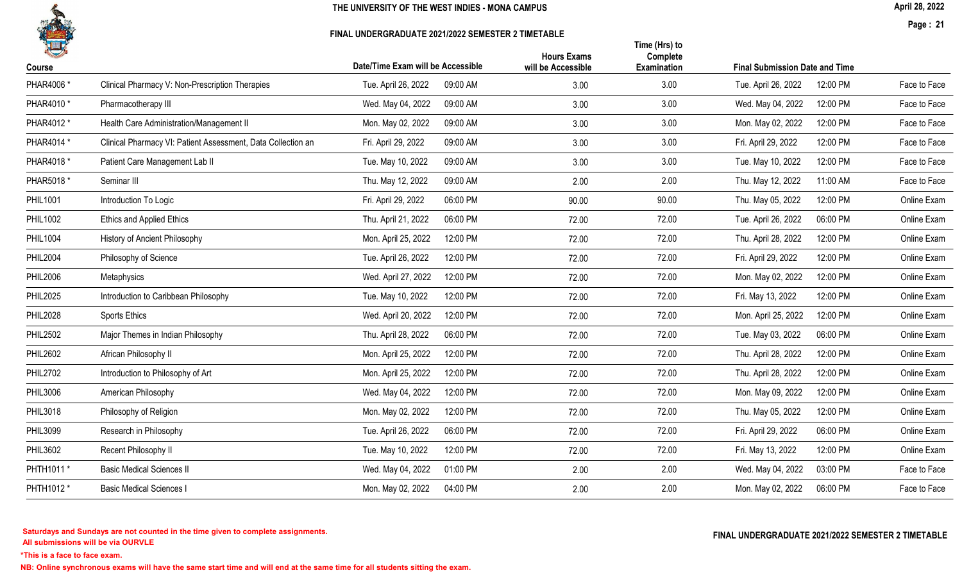

#### FINAL UNDERGRADUATE 2021/2022 SEMESTER 2 TIMETABLE

April 28, 2022

Page : 21

| H               |                                                              | Date/Time Exam will be Accessible | <b>Hours Exams</b> | Time (Hrs) to<br>Complete |                                       |              |
|-----------------|--------------------------------------------------------------|-----------------------------------|--------------------|---------------------------|---------------------------------------|--------------|
| Course          |                                                              |                                   | will be Accessible | Examination               | <b>Final Submission Date and Time</b> |              |
| PHAR4006 *      | Clinical Pharmacy V: Non-Prescription Therapies              | 09:00 AM<br>Tue. April 26, 2022   | 3.00               | 3.00                      | 12:00 PM<br>Tue. April 26, 2022       | Face to Face |
| PHAR4010 *      | Pharmacotherapy III                                          | Wed. May 04, 2022<br>09:00 AM     | 3.00               | 3.00                      | 12:00 PM<br>Wed. May 04, 2022         | Face to Face |
| PHAR4012 *      | Health Care Administration/Management II                     | Mon. May 02, 2022<br>09:00 AM     | 3.00               | 3.00                      | 12:00 PM<br>Mon. May 02, 2022         | Face to Face |
| PHAR4014 *      | Clinical Pharmacy VI: Patient Assessment, Data Collection an | Fri. April 29, 2022<br>09:00 AM   | 3.00               | 3.00                      | 12:00 PM<br>Fri. April 29, 2022       | Face to Face |
| PHAR4018 *      | Patient Care Management Lab II                               | Tue. May 10, 2022<br>09:00 AM     | 3.00               | 3.00                      | 12:00 PM<br>Tue. May 10, 2022         | Face to Face |
| PHAR5018 *      | Seminar III                                                  | Thu. May 12, 2022<br>09:00 AM     | 2.00               | 2.00                      | Thu. May 12, 2022<br>11:00 AM         | Face to Face |
| <b>PHIL1001</b> | Introduction To Logic                                        | Fri. April 29, 2022<br>06:00 PM   | 90.00              | 90.00                     | Thu. May 05, 2022<br>12:00 PM         | Online Exam  |
| <b>PHIL1002</b> | Ethics and Applied Ethics                                    | Thu. April 21, 2022<br>06:00 PM   | 72.00              | 72.00                     | Tue. April 26, 2022<br>06:00 PM       | Online Exam  |
| <b>PHIL1004</b> | History of Ancient Philosophy                                | Mon. April 25, 2022<br>12:00 PM   | 72.00              | 72.00                     | Thu. April 28, 2022<br>12:00 PM       | Online Exam  |
| <b>PHIL2004</b> | Philosophy of Science                                        | 12:00 PM<br>Tue. April 26, 2022   | 72.00              | 72.00                     | Fri. April 29, 2022<br>12:00 PM       | Online Exam  |
| <b>PHIL2006</b> | Metaphysics                                                  | 12:00 PM<br>Wed. April 27, 2022   | 72.00              | 72.00                     | 12:00 PM<br>Mon. May 02, 2022         | Online Exam  |
| <b>PHIL2025</b> | Introduction to Caribbean Philosophy                         | Tue. May 10, 2022<br>12:00 PM     | 72.00              | 72.00                     | 12:00 PM<br>Fri. May 13, 2022         | Online Exam  |
| <b>PHIL2028</b> | <b>Sports Ethics</b>                                         | Wed. April 20, 2022<br>12:00 PM   | 72.00              | 72.00                     | 12:00 PM<br>Mon. April 25, 2022       | Online Exam  |
| <b>PHIL2502</b> | Major Themes in Indian Philosophy                            | Thu. April 28, 2022<br>06:00 PM   | 72.00              | 72.00                     | Tue. May 03, 2022<br>06:00 PM         | Online Exam  |
| <b>PHIL2602</b> | African Philosophy II                                        | 12:00 PM<br>Mon. April 25, 2022   | 72.00              | 72.00                     | Thu. April 28, 2022<br>12:00 PM       | Online Exam  |
| <b>PHIL2702</b> | Introduction to Philosophy of Art                            | Mon. April 25, 2022<br>12:00 PM   | 72.00              | 72.00                     | Thu. April 28, 2022<br>12:00 PM       | Online Exam  |
| PHIL3006        | American Philosophy                                          | 12:00 PM<br>Wed. May 04, 2022     | 72.00              | 72.00                     | 12:00 PM<br>Mon. May 09, 2022         | Online Exam  |
| <b>PHIL3018</b> | Philosophy of Religion                                       | 12:00 PM<br>Mon. May 02, 2022     | 72.00              | 72.00                     | 12:00 PM<br>Thu. May 05, 2022         | Online Exam  |
| <b>PHIL3099</b> | Research in Philosophy                                       | Tue. April 26, 2022<br>06:00 PM   | 72.00              | 72.00                     | Fri. April 29, 2022<br>06:00 PM       | Online Exam  |
| <b>PHIL3602</b> | Recent Philosophy II                                         | 12:00 PM<br>Tue. May 10, 2022     | 72.00              | 72.00                     | 12:00 PM<br>Fri. May 13, 2022         | Online Exam  |
| PHTH1011 *      | <b>Basic Medical Sciences II</b>                             | Wed. May 04, 2022<br>01:00 PM     | 2.00               | 2.00                      | 03:00 PM<br>Wed. May 04, 2022         | Face to Face |
| PHTH1012 *      | <b>Basic Medical Sciences I</b>                              | 04:00 PM<br>Mon. May 02, 2022     | 2.00               | 2.00                      | Mon. May 02, 2022<br>06:00 PM         | Face to Face |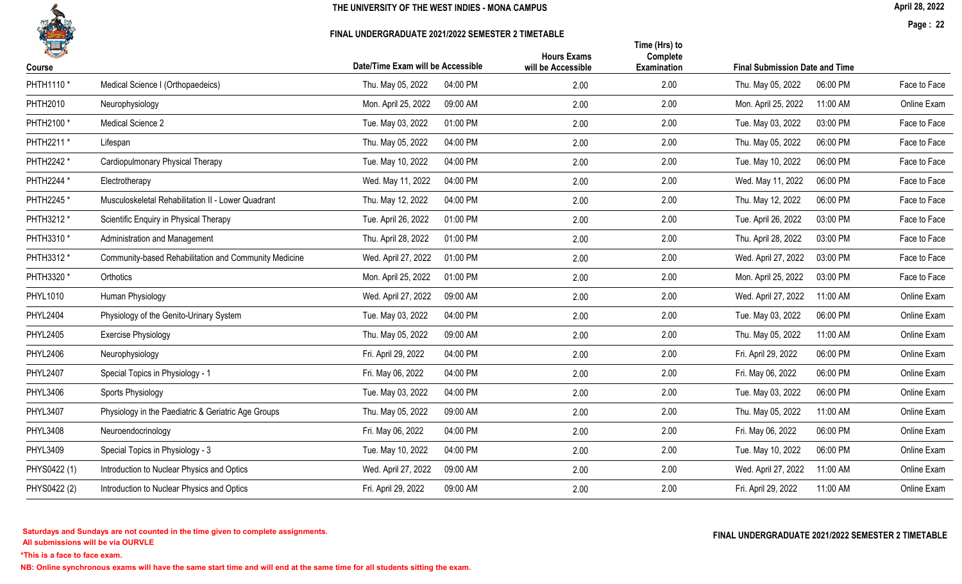

### FINAL UNDERGRADUATE 2021/2022 SEMESTER 2 TIMETABLE

April 28, 2022

Page : 22

| 14<br>Course    |                                                       | Date/Time Exam will be Accessible | <b>Hours Exams</b><br>will be Accessible | Time (Hrs) to<br>Complete<br>Examination | <b>Final Submission Date and Time</b> |          |              |
|-----------------|-------------------------------------------------------|-----------------------------------|------------------------------------------|------------------------------------------|---------------------------------------|----------|--------------|
| PHTH1110 *      | Medical Science I (Orthopaedeics)                     | 04:00 PM<br>Thu. May 05, 2022     | 2.00                                     | 2.00                                     | Thu. May 05, 2022                     | 06:00 PM | Face to Face |
| PHTH2010        | Neurophysiology                                       | Mon. April 25, 2022<br>09:00 AM   | 2.00                                     | 2.00                                     | Mon. April 25, 2022                   | 11:00 AM | Online Exam  |
| PHTH2100 *      | Medical Science 2                                     | Tue. May 03, 2022<br>01:00 PM     | 2.00                                     | 2.00                                     | Tue. May 03, 2022                     | 03:00 PM | Face to Face |
| PHTH2211 *      | Lifespan                                              | Thu. May 05, 2022<br>04:00 PM     | 2.00                                     | 2.00                                     | Thu. May 05, 2022                     | 06:00 PM | Face to Face |
| PHTH2242 *      | Cardiopulmonary Physical Therapy                      | Tue. May 10, 2022<br>04:00 PM     | 2.00                                     | 2.00                                     | Tue. May 10, 2022                     | 06:00 PM | Face to Face |
| PHTH2244 *      | Electrotherapy                                        | Wed. May 11, 2022<br>04:00 PM     | 2.00                                     | 2.00                                     | Wed. May 11, 2022                     | 06:00 PM | Face to Face |
| PHTH2245 *      | Musculoskeletal Rehabilitation II - Lower Quadrant    | Thu. May 12, 2022<br>04:00 PM     | 2.00                                     | 2.00                                     | Thu. May 12, 2022                     | 06:00 PM | Face to Face |
| PHTH3212 *      | Scientific Enquiry in Physical Therapy                | Tue. April 26, 2022<br>01:00 PM   | 2.00                                     | 2.00                                     | Tue. April 26, 2022                   | 03:00 PM | Face to Face |
| PHTH3310 *      | Administration and Management                         | Thu. April 28, 2022<br>01:00 PM   | 2.00                                     | 2.00                                     | Thu. April 28, 2022                   | 03:00 PM | Face to Face |
| PHTH3312 *      | Community-based Rehabilitation and Community Medicine | Wed. April 27, 2022<br>01:00 PM   | 2.00                                     | 2.00                                     | Wed. April 27, 2022                   | 03:00 PM | Face to Face |
| PHTH3320 *      | Orthotics                                             | Mon. April 25, 2022<br>01:00 PM   | 2.00                                     | 2.00                                     | Mon. April 25, 2022                   | 03:00 PM | Face to Face |
| PHYL1010        | Human Physiology                                      | Wed. April 27, 2022<br>09:00 AM   | 2.00                                     | 2.00                                     | Wed. April 27, 2022                   | 11:00 AM | Online Exam  |
| <b>PHYL2404</b> | Physiology of the Genito-Urinary System               | 04:00 PM<br>Tue. May 03, 2022     | 2.00                                     | 2.00                                     | Tue. May 03, 2022                     | 06:00 PM | Online Exam  |
| <b>PHYL2405</b> | <b>Exercise Physiology</b>                            | Thu. May 05, 2022<br>09:00 AM     | 2.00                                     | 2.00                                     | Thu. May 05, 2022                     | 11:00 AM | Online Exam  |
| <b>PHYL2406</b> | Neurophysiology                                       | Fri. April 29, 2022<br>04:00 PM   | 2.00                                     | 2.00                                     | Fri. April 29, 2022                   | 06:00 PM | Online Exam  |
| <b>PHYL2407</b> | Special Topics in Physiology - 1                      | 04:00 PM<br>Fri. May 06, 2022     | 2.00                                     | 2.00                                     | Fri. May 06, 2022                     | 06:00 PM | Online Exam  |
| <b>PHYL3406</b> | Sports Physiology                                     | Tue. May 03, 2022<br>04:00 PM     | 2.00                                     | 2.00                                     | Tue. May 03, 2022                     | 06:00 PM | Online Exam  |
| <b>PHYL3407</b> | Physiology in the Paediatric & Geriatric Age Groups   | 09:00 AM<br>Thu. May 05, 2022     | 2.00                                     | 2.00                                     | Thu. May 05, 2022                     | 11:00 AM | Online Exam  |
| <b>PHYL3408</b> | Neuroendocrinology                                    | Fri. May 06, 2022<br>04:00 PM     | 2.00                                     | 2.00                                     | Fri. May 06, 2022                     | 06:00 PM | Online Exam  |
| PHYL3409        | Special Topics in Physiology - 3                      | 04:00 PM<br>Tue. May 10, 2022     | 2.00                                     | 2.00                                     | Tue. May 10, 2022                     | 06:00 PM | Online Exam  |
| PHYS0422 (1)    | Introduction to Nuclear Physics and Optics            | Wed. April 27, 2022<br>09:00 AM   | 2.00                                     | 2.00                                     | Wed. April 27, 2022                   | 11:00 AM | Online Exam  |
| PHYS0422 (2)    | Introduction to Nuclear Physics and Optics            | Fri. April 29, 2022<br>09:00 AM   | 2.00                                     | 2.00                                     | Fri. April 29, 2022                   | 11:00 AM | Online Exam  |
|                 |                                                       |                                   |                                          |                                          |                                       |          |              |

All submissions will be via OURVLE Saturdays and Sundays are not counted in the time given to complete assignments. The substitution of the time of the time given to complete assignments. The substitution of the time  $\Gamma$  and  $\Gamma$  and  $\Gamma$  and  $\Gamma$  and  $\Gamma$ 

\*This is a face to face exam.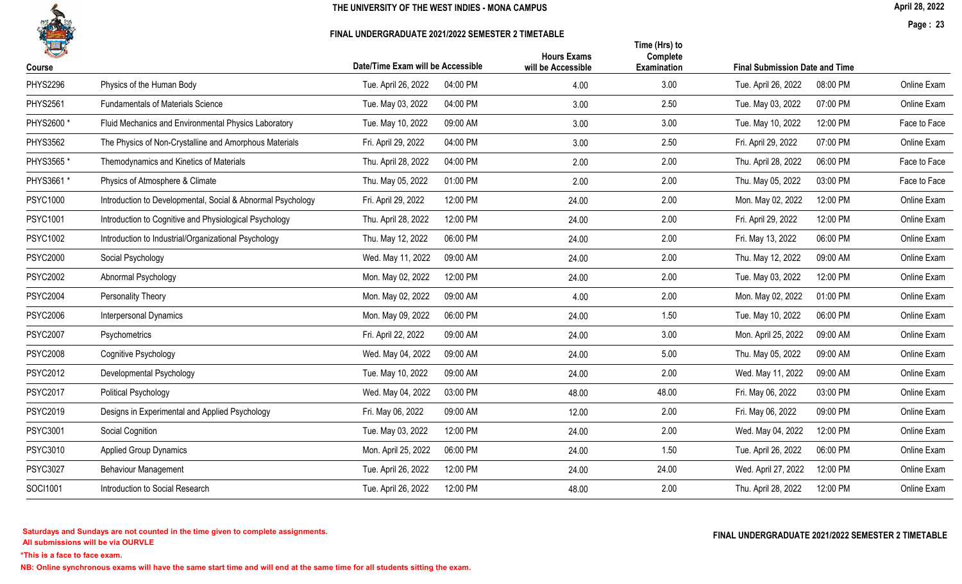

#### FINAL UNDERGRADUATE 2021/2022 SEMESTER 2 TIMETABLE

April 28, 2022

Page : 23

|                                                             |                                 | <b>Hours Exams</b>              | Time (Hrs) to<br>Complete                                       |                                 |                                                                          |
|-------------------------------------------------------------|---------------------------------|---------------------------------|-----------------------------------------------------------------|---------------------------------|--------------------------------------------------------------------------|
|                                                             |                                 |                                 |                                                                 |                                 | Online Exam                                                              |
| <b>Fundamentals of Materials Science</b>                    | 04:00 PM<br>Tue. May 03, 2022   | 3.00                            | 2.50                                                            | 07:00 PM<br>Tue. May 03, 2022   | Online Exam                                                              |
| Fluid Mechanics and Environmental Physics Laboratory        | 09:00 AM<br>Tue. May 10, 2022   | 3.00                            | 3.00                                                            | 12:00 PM<br>Tue. May 10, 2022   | Face to Face                                                             |
| The Physics of Non-Crystalline and Amorphous Materials      | Fri. April 29, 2022<br>04:00 PM | 3.00                            | 2.50                                                            | 07:00 PM<br>Fri. April 29, 2022 | Online Exam                                                              |
| Themodynamics and Kinetics of Materials                     | Thu. April 28, 2022<br>04:00 PM | 2.00                            | 2.00                                                            | 06:00 PM<br>Thu. April 28, 2022 | Face to Face                                                             |
| Physics of Atmosphere & Climate                             | 01:00 PM<br>Thu. May 05, 2022   | 2.00                            | 2.00                                                            | 03:00 PM<br>Thu. May 05, 2022   | Face to Face                                                             |
| Introduction to Developmental, Social & Abnormal Psychology | Fri. April 29, 2022<br>12:00 PM | 24.00                           | 2.00                                                            | Mon. May 02, 2022<br>12:00 PM   | Online Exam                                                              |
| Introduction to Cognitive and Physiological Psychology      | 12:00 PM<br>Thu. April 28, 2022 | 24.00                           | 2.00                                                            | 12:00 PM<br>Fri. April 29, 2022 | Online Exam                                                              |
| Introduction to Industrial/Organizational Psychology        | 06:00 PM<br>Thu. May 12, 2022   | 24.00                           | 2.00                                                            | 06:00 PM<br>Fri. May 13, 2022   | Online Exam                                                              |
| Social Psychology                                           | Wed. May 11, 2022<br>09:00 AM   | 24.00                           | 2.00                                                            | 09:00 AM<br>Thu. May 12, 2022   | Online Exam                                                              |
| Abnormal Psychology                                         | Mon. May 02, 2022<br>12:00 PM   | 24.00                           | 2.00                                                            | 12:00 PM<br>Tue. May 03, 2022   | Online Exam                                                              |
| Personality Theory                                          | 09:00 AM<br>Mon. May 02, 2022   | 4.00                            | 2.00                                                            | 01:00 PM<br>Mon. May 02, 2022   | Online Exam                                                              |
| <b>Interpersonal Dynamics</b>                               | Mon. May 09, 2022<br>06:00 PM   | 24.00                           | 1.50                                                            | 06:00 PM<br>Tue. May 10, 2022   | Online Exam                                                              |
| Psychometrics                                               | Fri. April 22, 2022<br>09:00 AM | 24.00                           | 3.00                                                            | 09:00 AM<br>Mon. April 25, 2022 | Online Exam                                                              |
| Cognitive Psychology                                        | Wed. May 04, 2022<br>09:00 AM   | 24.00                           | 5.00                                                            | Thu. May 05, 2022<br>09:00 AM   | Online Exam                                                              |
| Developmental Psychology                                    | Tue. May 10, 2022<br>09:00 AM   | 24.00                           | 2.00                                                            | 09:00 AM<br>Wed. May 11, 2022   | Online Exam                                                              |
| Political Psychology                                        | Wed. May 04, 2022<br>03:00 PM   | 48.00                           | 48.00                                                           | Fri. May 06, 2022<br>03:00 PM   | Online Exam                                                              |
| Designs in Experimental and Applied Psychology              | 09:00 AM<br>Fri. May 06, 2022   | 12.00                           | 2.00                                                            | 09:00 PM<br>Fri. May 06, 2022   | Online Exam                                                              |
| Social Cognition                                            | Tue. May 03, 2022<br>12:00 PM   | 24.00                           | 2.00                                                            | Wed. May 04, 2022<br>12:00 PM   | Online Exam                                                              |
| <b>Applied Group Dynamics</b>                               | 06:00 PM<br>Mon. April 25, 2022 | 24.00                           | 1.50                                                            | 06:00 PM<br>Tue. April 26, 2022 | Online Exam                                                              |
| Behaviour Management                                        | Tue. April 26, 2022<br>12:00 PM | 24.00                           | 24.00                                                           | 12:00 PM<br>Wed. April 27, 2022 | Online Exam                                                              |
| Introduction to Social Research                             | Tue. April 26, 2022<br>12:00 PM | 48.00                           | 2.00                                                            | Thu. April 28, 2022<br>12:00 PM | Online Exam                                                              |
|                                                             | Physics of the Human Body       | 04:00 PM<br>Tue. April 26, 2022 | Date/Time Exam will be Accessible<br>will be Accessible<br>4.00 | Examination<br>3.00             | <b>Final Submission Date and Time</b><br>08:00 PM<br>Tue. April 26, 2022 |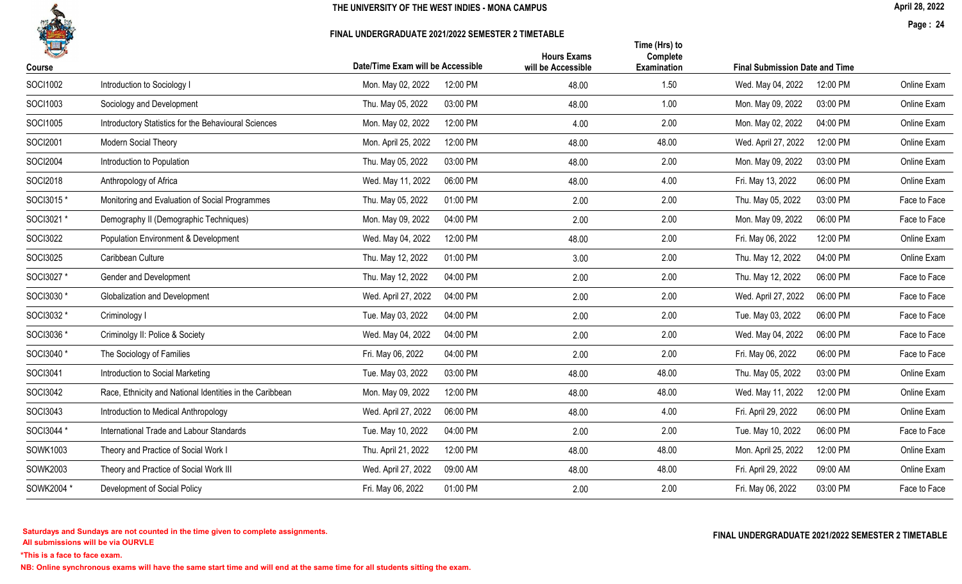

#### FINAL UNDERGRADUATE 2021/2022 SEMESTER 2 TIMETABLE

April 28, 2022

Page : 24

|                 |                                                          | Date/Time Exam will be Accessible | <b>Hours Exams</b> | Time (Hrs) to<br>Complete |                                       |          |              |
|-----------------|----------------------------------------------------------|-----------------------------------|--------------------|---------------------------|---------------------------------------|----------|--------------|
| Course          |                                                          |                                   | will be Accessible | <b>Examination</b>        | <b>Final Submission Date and Time</b> |          |              |
| SOCI1002        | Introduction to Sociology I                              | 12:00 PM<br>Mon. May 02, 2022     | 48.00              | 1.50                      | Wed. May 04, 2022                     | 12:00 PM | Online Exam  |
| SOCI1003        | Sociology and Development                                | 03:00 PM<br>Thu. May 05, 2022     | 48.00              | 1.00                      | Mon. May 09, 2022                     | 03:00 PM | Online Exam  |
| SOCI1005        | Introductory Statistics for the Behavioural Sciences     | 12:00 PM<br>Mon. May 02, 2022     | 4.00               | 2.00                      | Mon. May 02, 2022                     | 04:00 PM | Online Exam  |
| SOCI2001        | Modern Social Theory                                     | 12:00 PM<br>Mon. April 25, 2022   | 48.00              | 48.00                     | Wed. April 27, 2022                   | 12:00 PM | Online Exam  |
| <b>SOCI2004</b> | Introduction to Population                               | 03:00 PM<br>Thu. May 05, 2022     | 48.00              | 2.00                      | Mon. May 09, 2022                     | 03:00 PM | Online Exam  |
| SOCI2018        | Anthropology of Africa                                   | Wed. May 11, 2022<br>06:00 PM     | 48.00              | 4.00                      | Fri. May 13, 2022                     | 06:00 PM | Online Exam  |
| SOCI3015*       | Monitoring and Evaluation of Social Programmes           | 01:00 PM<br>Thu. May 05, 2022     | 2.00               | 2.00                      | Thu. May 05, 2022                     | 03:00 PM | Face to Face |
| SOCI3021 *      | Demography II (Demographic Techniques)                   | 04:00 PM<br>Mon. May 09, 2022     | 2.00               | 2.00                      | Mon. May 09, 2022                     | 06:00 PM | Face to Face |
| <b>SOCI3022</b> | Population Environment & Development                     | 12:00 PM<br>Wed. May 04, 2022     | 48.00              | 2.00                      | Fri. May 06, 2022                     | 12:00 PM | Online Exam  |
| <b>SOCI3025</b> | Caribbean Culture                                        | Thu. May 12, 2022<br>01:00 PM     | 3.00               | 2.00                      | Thu. May 12, 2022                     | 04:00 PM | Online Exam  |
| SOCI3027 *      | Gender and Development                                   | Thu. May 12, 2022<br>04:00 PM     | 2.00               | 2.00                      | Thu. May 12, 2022                     | 06:00 PM | Face to Face |
| SOCI3030 *      | <b>Globalization and Development</b>                     | Wed. April 27, 2022<br>04:00 PM   | 2.00               | 2.00                      | Wed. April 27, 2022                   | 06:00 PM | Face to Face |
| SOCI3032 *      | Criminology I                                            | Tue. May 03, 2022<br>04:00 PM     | 2.00               | 2.00                      | Tue. May 03, 2022                     | 06:00 PM | Face to Face |
| SOCI3036 *      | Criminolgy II: Police & Society                          | Wed. May 04, 2022<br>04:00 PM     | 2.00               | 2.00                      | Wed. May 04, 2022                     | 06:00 PM | Face to Face |
| SOCI3040*       | The Sociology of Families                                | Fri. May 06, 2022<br>04:00 PM     | 2.00               | 2.00                      | Fri. May 06, 2022                     | 06:00 PM | Face to Face |
| SOCI3041        | Introduction to Social Marketing                         | 03:00 PM<br>Tue. May 03, 2022     | 48.00              | 48.00                     | Thu. May 05, 2022                     | 03:00 PM | Online Exam  |
| SOCI3042        | Race, Ethnicity and National Identities in the Caribbean | Mon. May 09, 2022<br>12:00 PM     | 48.00              | 48.00                     | Wed. May 11, 2022                     | 12:00 PM | Online Exam  |
| SOCI3043        | Introduction to Medical Anthropology                     | Wed. April 27, 2022<br>06:00 PM   | 48.00              | 4.00                      | Fri. April 29, 2022                   | 06:00 PM | Online Exam  |
| SOCI3044 *      | International Trade and Labour Standards                 | Tue. May 10, 2022<br>04:00 PM     | 2.00               | 2.00                      | Tue. May 10, 2022                     | 06:00 PM | Face to Face |
| SOWK1003        | Theory and Practice of Social Work I                     | 12:00 PM<br>Thu. April 21, 2022   | 48.00              | 48.00                     | Mon. April 25, 2022                   | 12:00 PM | Online Exam  |
| SOWK2003        | Theory and Practice of Social Work III                   | Wed. April 27, 2022<br>09:00 AM   | 48.00              | 48.00                     | Fri. April 29, 2022                   | 09:00 AM | Online Exam  |
| SOWK2004 *      | Development of Social Policy                             | Fri. May 06, 2022<br>01:00 PM     | 2.00               | 2.00                      | Fri. May 06, 2022                     | 03:00 PM | Face to Face |
|                 |                                                          |                                   |                    |                           |                                       |          |              |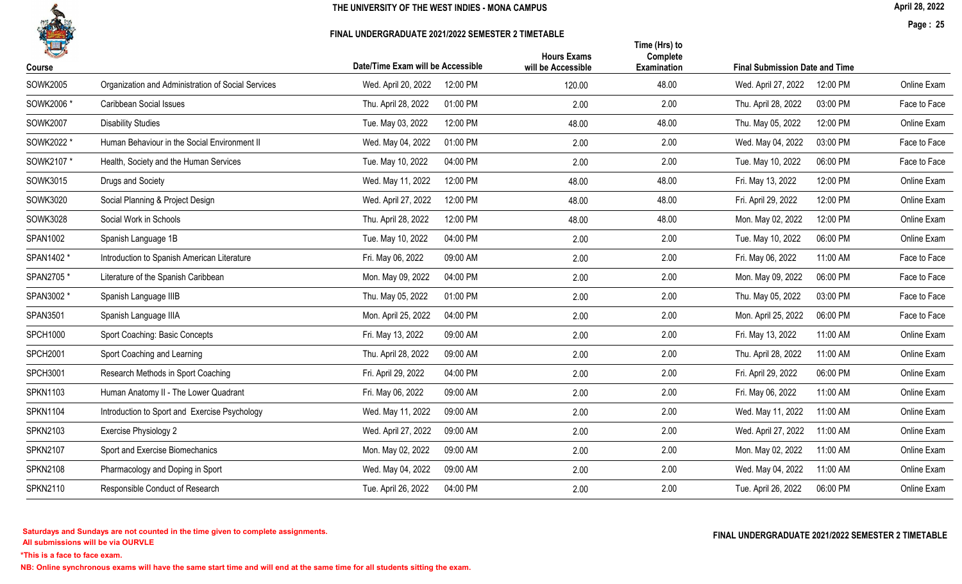

#### FINAL UNDERGRADUATE 2021/2022 SEMESTER 2 TIMETABLE

April 28, 2022

Page : 25

| 一<br>Course     |                                                    | Date/Time Exam will be Accessible | <b>Hours Exams</b><br>will be Accessible | Time (Hrs) to<br>Complete<br>Examination | <b>Final Submission Date and Time</b> |              |
|-----------------|----------------------------------------------------|-----------------------------------|------------------------------------------|------------------------------------------|---------------------------------------|--------------|
| <b>SOWK2005</b> | Organization and Administration of Social Services | 12:00 PM<br>Wed. April 20, 2022   | 120.00                                   | 48.00                                    | 12:00 PM<br>Wed. April 27, 2022       | Online Exam  |
| SOWK2006 *      | Caribbean Social Issues                            | 01:00 PM<br>Thu. April 28, 2022   | 2.00                                     | 2.00                                     | 03:00 PM<br>Thu. April 28, 2022       | Face to Face |
| <b>SOWK2007</b> | <b>Disability Studies</b>                          | Tue. May 03, 2022<br>12:00 PM     | 48.00                                    | 48.00                                    | Thu. May 05, 2022<br>12:00 PM         | Online Exam  |
| SOWK2022 *      | Human Behaviour in the Social Environment II       | Wed. May 04, 2022<br>01:00 PM     | 2.00                                     | 2.00                                     | 03:00 PM<br>Wed. May 04, 2022         | Face to Face |
| SOWK2107 *      | Health, Society and the Human Services             | 04:00 PM<br>Tue. May 10, 2022     | 2.00                                     | 2.00                                     | 06:00 PM<br>Tue. May 10, 2022         | Face to Face |
| SOWK3015        | Drugs and Society                                  | Wed. May 11, 2022<br>12:00 PM     | 48.00                                    | 48.00                                    | Fri. May 13, 2022<br>12:00 PM         | Online Exam  |
| SOWK3020        | Social Planning & Project Design                   | Wed. April 27, 2022<br>12:00 PM   | 48.00                                    | 48.00                                    | 12:00 PM<br>Fri. April 29, 2022       | Online Exam  |
| <b>SOWK3028</b> | Social Work in Schools                             | Thu. April 28, 2022<br>12:00 PM   | 48.00                                    | 48.00                                    | 12:00 PM<br>Mon. May 02, 2022         | Online Exam  |
| SPAN1002        | Spanish Language 1B                                | Tue. May 10, 2022<br>04:00 PM     | 2.00                                     | 2.00                                     | 06:00 PM<br>Tue. May 10, 2022         | Online Exam  |
| SPAN1402 *      | Introduction to Spanish American Literature        | Fri. May 06, 2022<br>09:00 AM     | 2.00                                     | 2.00                                     | 11:00 AM<br>Fri. May 06, 2022         | Face to Face |
| SPAN2705*       | Literature of the Spanish Caribbean                | Mon. May 09, 2022<br>04:00 PM     | 2.00                                     | 2.00                                     | 06:00 PM<br>Mon. May 09, 2022         | Face to Face |
| SPAN3002 *      | Spanish Language IIIB                              | Thu. May 05, 2022<br>01:00 PM     | 2.00                                     | 2.00                                     | Thu. May 05, 2022<br>03:00 PM         | Face to Face |
| SPAN3501        | Spanish Language IIIA                              | Mon. April 25, 2022<br>04:00 PM   | 2.00                                     | 2.00                                     | 06:00 PM<br>Mon. April 25, 2022       | Face to Face |
| <b>SPCH1000</b> | Sport Coaching: Basic Concepts                     | 09:00 AM<br>Fri. May 13, 2022     | 2.00                                     | 2.00                                     | 11:00 AM<br>Fri. May 13, 2022         | Online Exam  |
| <b>SPCH2001</b> | Sport Coaching and Learning                        | Thu. April 28, 2022<br>09:00 AM   | 2.00                                     | 2.00                                     | Thu. April 28, 2022<br>11:00 AM       | Online Exam  |
| <b>SPCH3001</b> | Research Methods in Sport Coaching                 | Fri. April 29, 2022<br>04:00 PM   | 2.00                                     | 2.00                                     | 06:00 PM<br>Fri. April 29, 2022       | Online Exam  |
| <b>SPKN1103</b> | Human Anatomy II - The Lower Quadrant              | Fri. May 06, 2022<br>09:00 AM     | 2.00                                     | 2.00                                     | Fri. May 06, 2022<br>11:00 AM         | Online Exam  |
| <b>SPKN1104</b> | Introduction to Sport and Exercise Psychology      | 09:00 AM<br>Wed. May 11, 2022     | 2.00                                     | 2.00                                     | 11:00 AM<br>Wed. May 11, 2022         | Online Exam  |
| <b>SPKN2103</b> | Exercise Physiology 2                              | Wed. April 27, 2022<br>09:00 AM   | 2.00                                     | 2.00                                     | Wed. April 27, 2022<br>11:00 AM       | Online Exam  |
| <b>SPKN2107</b> | Sport and Exercise Biomechanics                    | Mon. May 02, 2022<br>09:00 AM     | 2.00                                     | 2.00                                     | Mon. May 02, 2022<br>11:00 AM         | Online Exam  |
| <b>SPKN2108</b> | Pharmacology and Doping in Sport                   | 09:00 AM<br>Wed. May 04, 2022     | 2.00                                     | 2.00                                     | Wed. May 04, 2022<br>11:00 AM         | Online Exam  |
| <b>SPKN2110</b> | Responsible Conduct of Research                    | Tue. April 26, 2022<br>04:00 PM   | 2.00                                     | 2.00                                     | Tue. April 26, 2022<br>06:00 PM       | Online Exam  |
|                 |                                                    |                                   |                                          |                                          |                                       |              |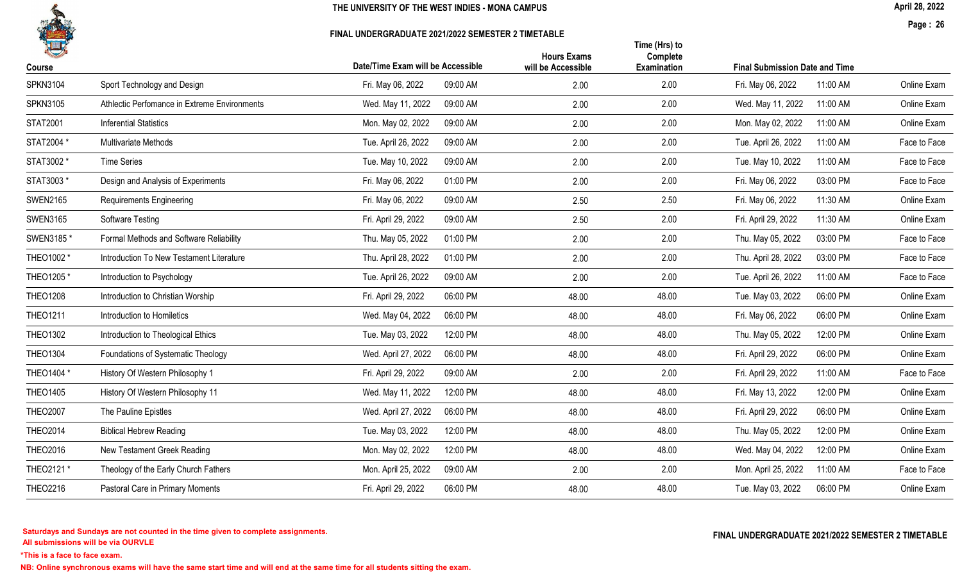

#### FINAL UNDERGRADUATE 2021/2022 SEMESTER 2 TIMETABLE

April 28, 2022

Page : 26

| 14<br>Course    |                                              | Date/Time Exam will be Accessible | <b>Hours Exams</b><br>will be Accessible | Time (Hrs) to<br>Complete<br>Examination | <b>Final Submission Date and Time</b> |              |
|-----------------|----------------------------------------------|-----------------------------------|------------------------------------------|------------------------------------------|---------------------------------------|--------------|
| <b>SPKN3104</b> | Sport Technology and Design                  | Fri. May 06, 2022<br>09:00 AM     | 2.00                                     | 2.00                                     | Fri. May 06, 2022<br>11:00 AM         | Online Exam  |
| <b>SPKN3105</b> | Athlectic Perfomance in Extreme Environments | 09:00 AM<br>Wed. May 11, 2022     | 2.00                                     | 2.00                                     | Wed. May 11, 2022<br>11:00 AM         | Online Exam  |
| <b>STAT2001</b> | <b>Inferential Statistics</b>                | 09:00 AM<br>Mon. May 02, 2022     | 2.00                                     | 2.00                                     | Mon. May 02, 2022<br>11:00 AM         | Online Exam  |
| STAT2004 *      | Multivariate Methods                         | Tue. April 26, 2022<br>09:00 AM   | 2.00                                     | 2.00                                     | Tue. April 26, 2022<br>11:00 AM       | Face to Face |
| STAT3002 *      | <b>Time Series</b>                           | 09:00 AM<br>Tue. May 10, 2022     | 2.00                                     | 2.00                                     | Tue. May 10, 2022<br>11:00 AM         | Face to Face |
| STAT3003 *      | Design and Analysis of Experiments           | 01:00 PM<br>Fri. May 06, 2022     | 2.00                                     | 2.00                                     | 03:00 PM<br>Fri. May 06, 2022         | Face to Face |
| <b>SWEN2165</b> | <b>Requirements Engineering</b>              | Fri. May 06, 2022<br>09:00 AM     | 2.50                                     | 2.50                                     | 11:30 AM<br>Fri. May 06, 2022         | Online Exam  |
| <b>SWEN3165</b> | Software Testing                             | Fri. April 29, 2022<br>09:00 AM   | 2.50                                     | 2.00                                     | 11:30 AM<br>Fri. April 29, 2022       | Online Exam  |
| SWEN3185 *      | Formal Methods and Software Reliability      | 01:00 PM<br>Thu. May 05, 2022     | 2.00                                     | 2.00                                     | 03:00 PM<br>Thu. May 05, 2022         | Face to Face |
| THEO1002 *      | Introduction To New Testament Literature     | 01:00 PM<br>Thu. April 28, 2022   | 2.00                                     | 2.00                                     | Thu. April 28, 2022<br>03:00 PM       | Face to Face |
| THEO1205*       | Introduction to Psychology                   | Tue. April 26, 2022<br>09:00 AM   | 2.00                                     | 2.00                                     | Tue. April 26, 2022<br>11:00 AM       | Face to Face |
| <b>THEO1208</b> | Introduction to Christian Worship            | Fri. April 29, 2022<br>06:00 PM   | 48.00                                    | 48.00                                    | Tue. May 03, 2022<br>06:00 PM         | Online Exam  |
| <b>THEO1211</b> | Introduction to Homiletics                   | 06:00 PM<br>Wed. May 04, 2022     | 48.00                                    | 48.00                                    | Fri. May 06, 2022<br>06:00 PM         | Online Exam  |
| <b>THEO1302</b> | Introduction to Theological Ethics           | Tue. May 03, 2022<br>12:00 PM     | 48.00                                    | 48.00                                    | Thu. May 05, 2022<br>12:00 PM         | Online Exam  |
| <b>THEO1304</b> | Foundations of Systematic Theology           | 06:00 PM<br>Wed. April 27, 2022   | 48.00                                    | 48.00                                    | 06:00 PM<br>Fri. April 29, 2022       | Online Exam  |
| THEO1404 *      | History Of Western Philosophy 1              | Fri. April 29, 2022<br>09:00 AM   | 2.00                                     | 2.00                                     | Fri. April 29, 2022<br>11:00 AM       | Face to Face |
| <b>THEO1405</b> | History Of Western Philosophy 11             | 12:00 PM<br>Wed. May 11, 2022     | 48.00                                    | 48.00                                    | 12:00 PM<br>Fri. May 13, 2022         | Online Exam  |
| <b>THEO2007</b> | The Pauline Epistles                         | 06:00 PM<br>Wed. April 27, 2022   | 48.00                                    | 48.00                                    | 06:00 PM<br>Fri. April 29, 2022       | Online Exam  |
| <b>THEO2014</b> | <b>Biblical Hebrew Reading</b>               | Tue. May 03, 2022<br>12:00 PM     | 48.00                                    | 48.00                                    | Thu. May 05, 2022<br>12:00 PM         | Online Exam  |
| <b>THEO2016</b> | New Testament Greek Reading                  | 12:00 PM<br>Mon. May 02, 2022     | 48.00                                    | 48.00                                    | 12:00 PM<br>Wed. May 04, 2022         | Online Exam  |
| THEO2121 *      | Theology of the Early Church Fathers         | 09:00 AM<br>Mon. April 25, 2022   | 2.00                                     | 2.00                                     | Mon. April 25, 2022<br>11:00 AM       | Face to Face |
| <b>THEO2216</b> | Pastoral Care in Primary Moments             | Fri. April 29, 2022<br>06:00 PM   | 48.00                                    | 48.00                                    | Tue. May 03, 2022<br>06:00 PM         | Online Exam  |
|                 |                                              |                                   |                                          |                                          |                                       |              |

All submissions will be via OURVLE Saturdays and Sundays are not counted in the time given to complete assignments. The substitution of the time of the time given to complete assignments. The substitution of the time  $\Gamma$  and  $\Gamma$  and  $\Gamma$  and  $\Gamma$  and  $\Gamma$ 

\*This is a face to face exam.